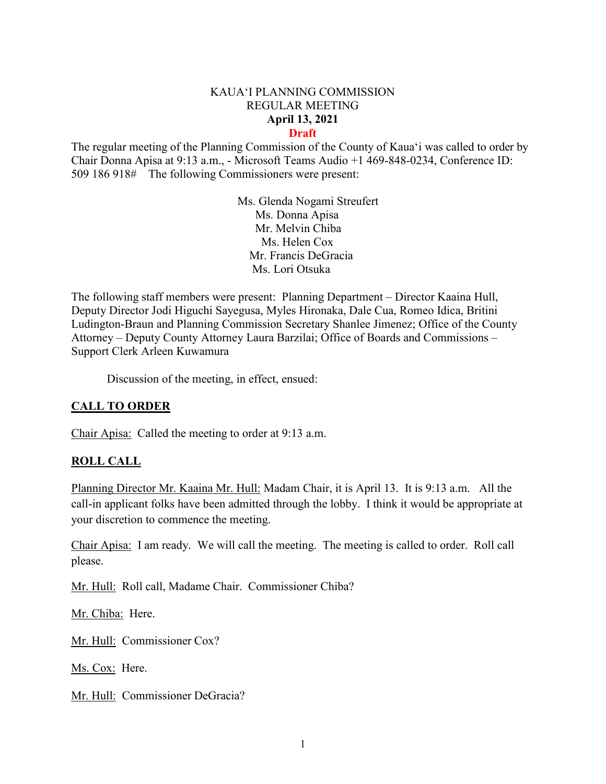#### KAUA'I PLANNING COMMISSION REGULAR MEETING **April 13, 2021 Draft**

The regular meeting of the Planning Commission of the County of Kaua'i was called to order by Chair Donna Apisa at 9:13 a.m., - Microsoft Teams Audio +1 469-848-0234, Conference ID: 509 186 918# The following Commissioners were present:

> Ms. Glenda Nogami Streufert Ms. Donna Apisa Mr. Melvin Chiba Ms. Helen Cox Mr. Francis DeGracia Ms. Lori Otsuka

The following staff members were present: Planning Department – Director Kaaina Hull, Deputy Director Jodi Higuchi Sayegusa, Myles Hironaka, Dale Cua, Romeo Idica, Britini Ludington-Braun and Planning Commission Secretary Shanlee Jimenez; Office of the County Attorney – Deputy County Attorney Laura Barzilai; Office of Boards and Commissions – Support Clerk Arleen Kuwamura

Discussion of the meeting, in effect, ensued:

### **CALL TO ORDER**

Chair Apisa: Called the meeting to order at 9:13 a.m.

#### **ROLL CALL**

Planning Director Mr. Kaaina Mr. Hull: Madam Chair, it is April 13. It is 9:13 a.m. All the call-in applicant folks have been admitted through the lobby. I think it would be appropriate at your discretion to commence the meeting.

Chair Apisa: I am ready. We will call the meeting. The meeting is called to order. Roll call please.

Mr. Hull: Roll call, Madame Chair. Commissioner Chiba?

Mr. Chiba: Here.

Mr. Hull: Commissioner Cox?

Ms. Cox: Here.

Mr. Hull: Commissioner DeGracia?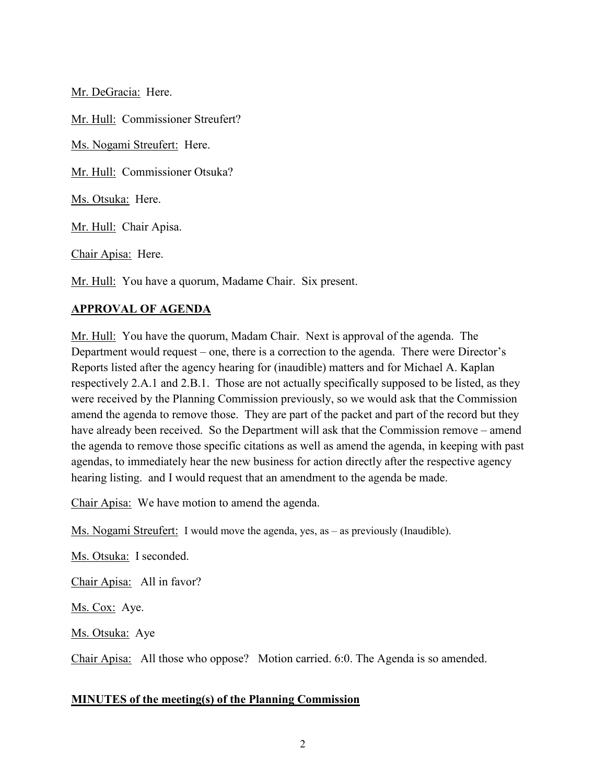Mr. DeGracia: Here.

Mr. Hull: Commissioner Streufert?

Ms. Nogami Streufert: Here.

Mr. Hull: Commissioner Otsuka?

Ms. Otsuka: Here.

Mr. Hull: Chair Apisa.

Chair Apisa: Here.

Mr. Hull: You have a quorum, Madame Chair. Six present.

### **APPROVAL OF AGENDA**

Mr. Hull: You have the quorum, Madam Chair. Next is approval of the agenda. The Department would request – one, there is a correction to the agenda. There were Director's Reports listed after the agency hearing for (inaudible) matters and for Michael A. Kaplan respectively 2.A.1 and 2.B.1. Those are not actually specifically supposed to be listed, as they were received by the Planning Commission previously, so we would ask that the Commission amend the agenda to remove those. They are part of the packet and part of the record but they have already been received. So the Department will ask that the Commission remove – amend the agenda to remove those specific citations as well as amend the agenda, in keeping with past agendas, to immediately hear the new business for action directly after the respective agency hearing listing. and I would request that an amendment to the agenda be made.

Chair Apisa: We have motion to amend the agenda.

Ms. Nogami Streufert: I would move the agenda, yes, as – as previously (Inaudible).

Ms. Otsuka: I seconded.

Chair Apisa: All in favor?

Ms. Cox: Aye.

Ms. Otsuka: Aye

Chair Apisa: All those who oppose? Motion carried. 6:0. The Agenda is so amended.

#### **MINUTES of the meeting(s) of the Planning Commission**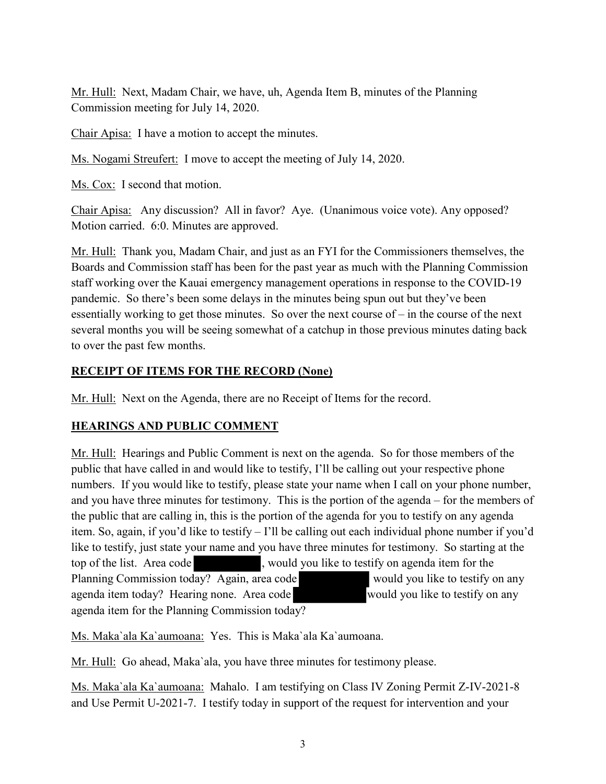Mr. Hull: Next, Madam Chair, we have, uh, Agenda Item B, minutes of the Planning Commission meeting for July 14, 2020.

Chair Apisa: I have a motion to accept the minutes.

Ms. Nogami Streufert: I move to accept the meeting of July 14, 2020.

Ms. Cox: I second that motion.

Chair Apisa: Any discussion? All in favor? Aye. (Unanimous voice vote). Any opposed? Motion carried. 6:0. Minutes are approved.

Mr. Hull: Thank you, Madam Chair, and just as an FYI for the Commissioners themselves, the Boards and Commission staff has been for the past year as much with the Planning Commission staff working over the Kauai emergency management operations in response to the COVID-19 pandemic. So there's been some delays in the minutes being spun out but they've been essentially working to get those minutes. So over the next course of – in the course of the next several months you will be seeing somewhat of a catchup in those previous minutes dating back to over the past few months.

## **RECEIPT OF ITEMS FOR THE RECORD (None)**

Mr. Hull: Next on the Agenda, there are no Receipt of Items for the record.

### **HEARINGS AND PUBLIC COMMENT**

Mr. Hull: Hearings and Public Comment is next on the agenda. So for those members of the public that have called in and would like to testify, I'll be calling out your respective phone numbers. If you would like to testify, please state your name when I call on your phone number, and you have three minutes for testimony. This is the portion of the agenda – for the members of the public that are calling in, this is the portion of the agenda for you to testify on any agenda item. So, again, if you'd like to testify – I'll be calling out each individual phone number if you'd like to testify, just state your name and you have three minutes for testimony. So starting at the top of the list. Area code , would you like to testify on agenda item for the Planning Commission today? Again, area code would you like to testify on any agenda item today? Hearing none. Area code would you like to testify on any agenda item for the Planning Commission today?

Ms. Maka`ala Ka`aumoana: Yes. This is Maka`ala Ka`aumoana.

Mr. Hull: Go ahead, Maka`ala, you have three minutes for testimony please.

Ms. Maka`ala Ka`aumoana: Mahalo. I am testifying on Class IV Zoning Permit Z-IV-2021-8 and Use Permit U-2021-7. I testify today in support of the request for intervention and your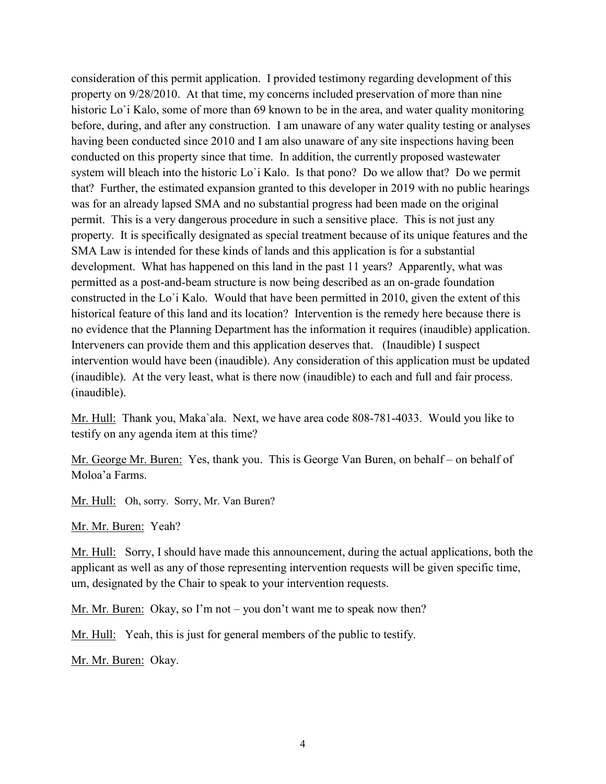consideration of this permit application. I provided testimony regarding development of this property on 9/28/2010. At that time, my concerns included preservation of more than nine historic Lo'i Kalo, some of more than 69 known to be in the area, and water quality monitoring before, during, and after any construction. I am unaware of any water quality testing or analyses having been conducted since 2010 and I am also unaware of any site inspections having been conducted on this property since that time. In addition, the currently proposed wastewater system will bleach into the historic Lo'i Kalo. Is that pono? Do we allow that? Do we permit that? Further, the estimated expansion granted to this developer in 2019 with no public hearings was for an already lapsed SMA and no substantial progress had been made on the original permit. This is a very dangerous procedure in such a sensitive place. This is not just any property. It is specifically designated as special treatment because of its unique features and the SMA Law is intended for these kinds of lands and this application is for a substantial development. What has happened on this land in the past 11 years? Apparently, what was permitted as a post-and-beam structure is now being described as an on-grade foundation constructed in the Lo`i Kalo. Would that have been permitted in 2010, given the extent of this historical feature of this land and its location? Intervention is the remedy here because there is no evidence that the Planning Department has the information it requires (inaudible) application. Interveners can provide them and this application deserves that. (Inaudible) I suspect intervention would have been (inaudible). Any consideration of this application must be updated (inaudible). At the very least, what is there now (inaudible) to each and full and fair process. (inaudible).

Mr. Hull: Thank you, Maka`ala. Next, we have area code 808-781-4033. Would you like to testify on any agenda item at this time?

Mr. George Mr. Buren: Yes, thank you. This is George Van Buren, on behalf – on behalf of Moloa'a Farms.

Mr. Hull: Oh, sorry. Sorry, Mr. Van Buren?

Mr. Mr. Buren: Yeah?

Mr. Hull: Sorry, I should have made this announcement, during the actual applications, both the applicant as well as any of those representing intervention requests will be given specific time, um, designated by the Chair to speak to your intervention requests.

Mr. Mr. Buren: Okay, so I'm not – you don't want me to speak now then?

Mr. Hull: Yeah, this is just for general members of the public to testify.

Mr. Mr. Buren: Okay.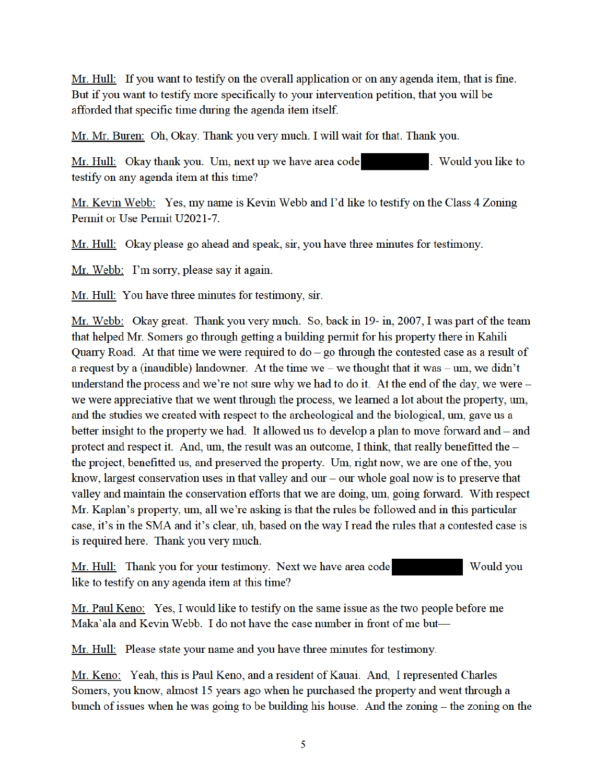Mr. Hull: If you want to testify on the overall application or on any agenda item, that is fine. But if you want to testify more specifically to your intervention petition, that you will be afforded that specific time during the agenda item itself.

Mr. Mr. Buren: Oh, Okay. Thank you very much. I will wait for that. Thank you.

Mr. Hull: Okay thank you. Um, next up we have area code . Would you like to testify on any agenda item at this time?

Mr. Kevin Webb: Yes, my name is Kevin Webb and I'd like to testify on the Class 4 Zoning Permit or Use Permit U2021-7.

Mr. Hull: Okay please go ahead and speak, sir, you have three minutes for testimony.

Mr. Webb: I'm sorry, please say it again.

Mr. Hull: You have three minutes for testimony, sir.

Mr. Webb: Okay great. Thank you very much. So, back in 19- in, 2007, I was part of the team that helped Mr. Somers go through getting a building permit for his property there in Kahili Quarry Road. At that time we were required to  $d_0$  – go through the contested case as a result of a request by a (inaudible) landowner. At the time we – we thought that it was – um, we didn't understand the process and we're not sure why we had to do it. At the end of the day, we were we were appreciative that we went through the process, we learned a lot about the property, um, and the studies we created with respect to the archeological and the biological, um, gave us a better insight to the property we had. It allowed us to develop a plan to move forward and - and protect and respect it. And, um, the result was an outcome, I think, that really benefitted the the project, benefitted us, and preserved the property. Um, right now, we are one of the, you know, largest conservation uses in that valley and our  $-$  our whole goal now is to preserve that valley and maintain the conservation efforts that we are doing, um, going forward. With respect Mr. Kaplan's property, um, all we're asking is that the rules be followed and in this particular case, it's in the SMA and it's clear, uh, based on the way I read the rules that a contested case is is required here. Thank you very much.

Mr. Hull: Thank you for your testimony. Next we have area code Would you like to testify on any agenda item at this time?

Mr. Paul Keno: Yes, I would like to testify on the same issue as the two people before me Maka'ala and Kevin Webb. I do not have the case number in front of me but—

Mr. Hull: Please state your name and you have three minutes for testimony.

Mr. Keno: Yeah, this is Paul Keno, and a resident of Kauai. And, I represented Charles Somers, you know, almost 15 years ago when he purchased the property and went through a bunch of issues when he was going to be building his house. And the zoning – the zoning on the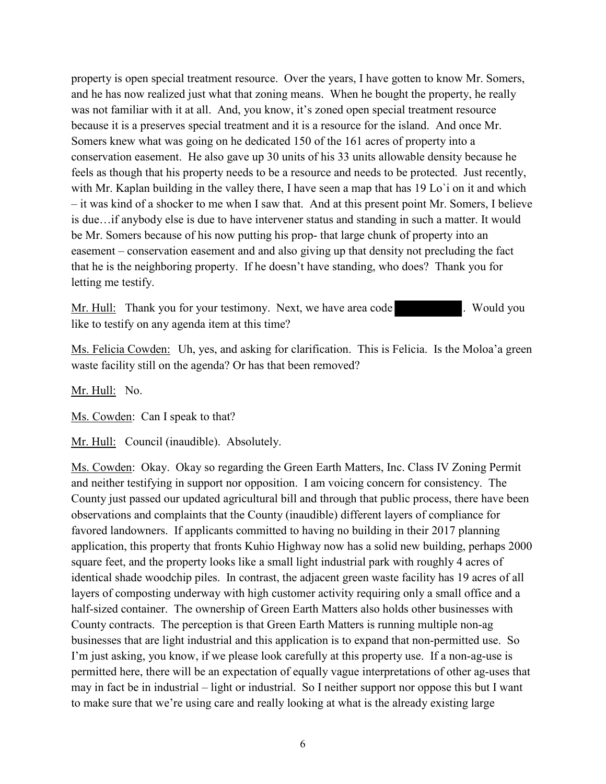property is open special treatment resource. Over the years, I have gotten to know Mr. Somers, and he has now realized just what that zoning means. When he bought the property, he really was not familiar with it at all. And, you know, it's zoned open special treatment resource because it is a preserves special treatment and it is a resource for the island. And once Mr. Somers knew what was going on he dedicated 150 of the 161 acres of property into a conservation easement. He also gave up 30 units of his 33 units allowable density because he feels as though that his property needs to be a resource and needs to be protected. Just recently, with Mr. Kaplan building in the valley there, I have seen a map that has 19 Lo'i on it and which – it was kind of a shocker to me when I saw that. And at this present point Mr. Somers, I believe is due…if anybody else is due to have intervener status and standing in such a matter. It would be Mr. Somers because of his now putting his prop- that large chunk of property into an easement – conservation easement and and also giving up that density not precluding the fact that he is the neighboring property. If he doesn't have standing, who does? Thank you for letting me testify.

Mr. Hull: Thank you for your testimony. Next, we have area code . Would you like to testify on any agenda item at this time?

Ms. Felicia Cowden: Uh, yes, and asking for clarification. This is Felicia. Is the Moloa'a green waste facility still on the agenda? Or has that been removed?

Mr. Hull: No.

Ms. Cowden: Can I speak to that?

Mr. Hull: Council (inaudible). Absolutely.

Ms. Cowden: Okay. Okay so regarding the Green Earth Matters, Inc. Class IV Zoning Permit and neither testifying in support nor opposition. I am voicing concern for consistency. The County just passed our updated agricultural bill and through that public process, there have been observations and complaints that the County (inaudible) different layers of compliance for favored landowners. If applicants committed to having no building in their 2017 planning application, this property that fronts Kuhio Highway now has a solid new building, perhaps 2000 square feet, and the property looks like a small light industrial park with roughly 4 acres of identical shade woodchip piles. In contrast, the adjacent green waste facility has 19 acres of all layers of composting underway with high customer activity requiring only a small office and a half-sized container. The ownership of Green Earth Matters also holds other businesses with County contracts. The perception is that Green Earth Matters is running multiple non-ag businesses that are light industrial and this application is to expand that non-permitted use. So I'm just asking, you know, if we please look carefully at this property use. If a non-ag-use is permitted here, there will be an expectation of equally vague interpretations of other ag-uses that may in fact be in industrial – light or industrial. So I neither support nor oppose this but I want to make sure that we're using care and really looking at what is the already existing large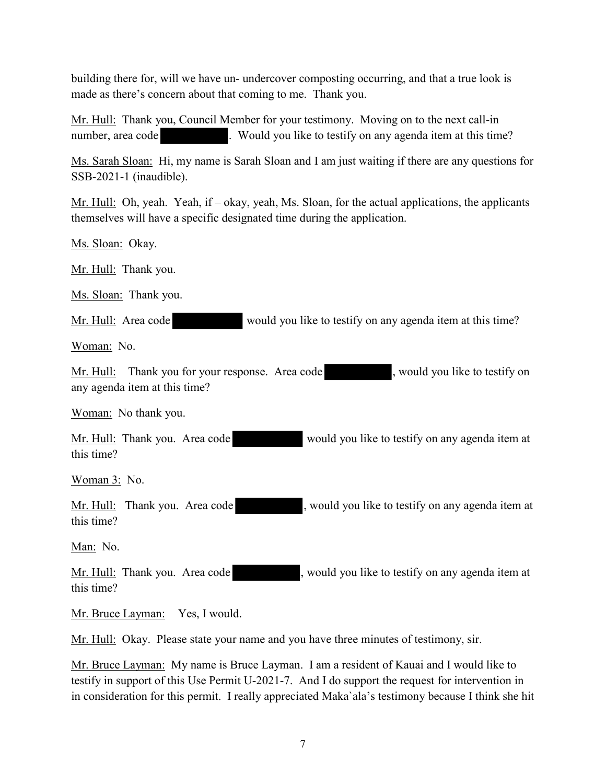building there for, will we have un- undercover composting occurring, and that a true look is made as there's concern about that coming to me. Thank you.

Mr. Hull: Thank you, Council Member for your testimony. Moving on to the next call-in number, area code . Would you like to testify on any agenda item at this time?

Ms. Sarah Sloan: Hi, my name is Sarah Sloan and I am just waiting if there are any questions for SSB-2021-1 (inaudible).

Mr. Hull: Oh, yeah. Yeah, if – okay, yeah, Ms. Sloan, for the actual applications, the applicants themselves will have a specific designated time during the application.

Ms. Sloan: Okay.

Mr. Hull: Thank you.

Ms. Sloan: Thank you.

Mr. Hull: Area code would you like to testify on any agenda item at this time?

Woman: No.

Mr. Hull: Thank you for your response. Area code , would you like to testify on any agenda item at this time?

Woman: No thank you.

Mr. Hull: Thank you. Area code would you like to testify on any agenda item at this time?

Woman 3: No.

Mr. Hull: Thank you. Area code , would you like to testify on any agenda item at this time?

Man: No.

Mr. Hull: Thank you. Area code , would you like to testify on any agenda item at this time?

Mr. Bruce Layman: Yes, I would.

Mr. Hull: Okay. Please state your name and you have three minutes of testimony, sir.

Mr. Bruce Layman: My name is Bruce Layman. I am a resident of Kauai and I would like to testify in support of this Use Permit U-2021-7. And I do support the request for intervention in in consideration for this permit. I really appreciated Maka`ala's testimony because I think she hit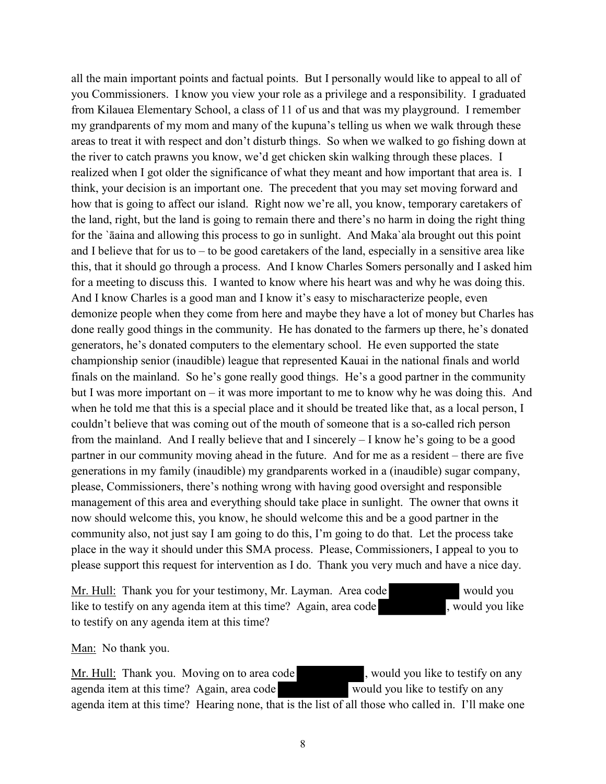all the main important points and factual points. But I personally would like to appeal to all of you Commissioners. I know you view your role as a privilege and a responsibility. I graduated from Kilauea Elementary School, a class of 11 of us and that was my playground. I remember my grandparents of my mom and many of the kupuna's telling us when we walk through these areas to treat it with respect and don't disturb things. So when we walked to go fishing down at the river to catch prawns you know, we'd get chicken skin walking through these places. I realized when I got older the significance of what they meant and how important that area is. I think, your decision is an important one. The precedent that you may set moving forward and how that is going to affect our island. Right now we're all, you know, temporary caretakers of the land, right, but the land is going to remain there and there's no harm in doing the right thing for the `āaina and allowing this process to go in sunlight. And Maka`ala brought out this point and I believe that for us to – to be good caretakers of the land, especially in a sensitive area like this, that it should go through a process. And I know Charles Somers personally and I asked him for a meeting to discuss this. I wanted to know where his heart was and why he was doing this. And I know Charles is a good man and I know it's easy to mischaracterize people, even demonize people when they come from here and maybe they have a lot of money but Charles has done really good things in the community. He has donated to the farmers up there, he's donated generators, he's donated computers to the elementary school. He even supported the state championship senior (inaudible) league that represented Kauai in the national finals and world finals on the mainland. So he's gone really good things. He's a good partner in the community but I was more important on – it was more important to me to know why he was doing this. And when he told me that this is a special place and it should be treated like that, as a local person, I couldn't believe that was coming out of the mouth of someone that is a so-called rich person from the mainland. And I really believe that and I sincerely – I know he's going to be a good partner in our community moving ahead in the future. And for me as a resident – there are five generations in my family (inaudible) my grandparents worked in a (inaudible) sugar company, please, Commissioners, there's nothing wrong with having good oversight and responsible management of this area and everything should take place in sunlight. The owner that owns it now should welcome this, you know, he should welcome this and be a good partner in the community also, not just say I am going to do this, I'm going to do that. Let the process take place in the way it should under this SMA process. Please, Commissioners, I appeal to you to please support this request for intervention as I do. Thank you very much and have a nice day.

Mr. Hull: Thank you for your testimony, Mr. Layman. Area code like to testify on any agenda item at this time? Again, area code , would you like to testify on any agenda item at this time?

Man: No thank you.

Mr. Hull: Thank you. Moving on to area code , would you like to testify on any agenda item at this time? Again, area code would you like to testify on any agenda item at this time? Hearing none, that is the list of all those who called in. I'll make one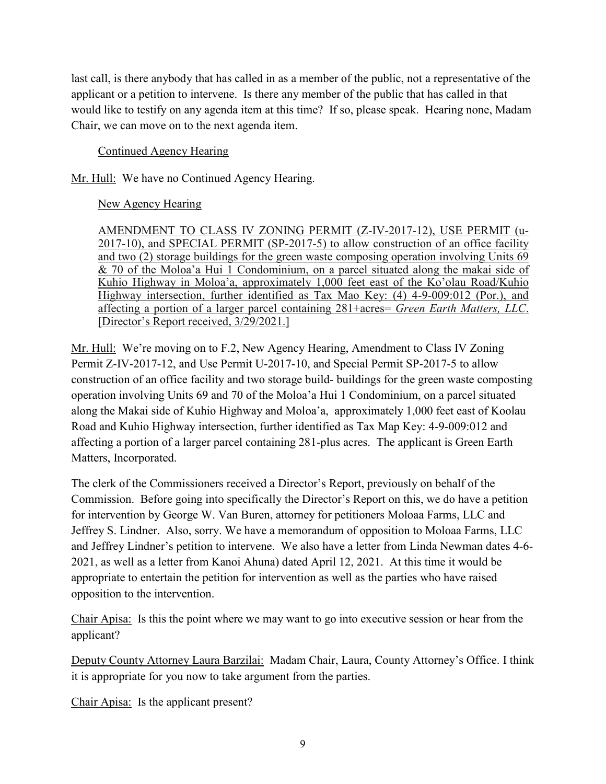last call, is there anybody that has called in as a member of the public, not a representative of the applicant or a petition to intervene. Is there any member of the public that has called in that would like to testify on any agenda item at this time? If so, please speak. Hearing none, Madam Chair, we can move on to the next agenda item.

## Continued Agency Hearing

Mr. Hull: We have no Continued Agency Hearing.

# New Agency Hearing

AMENDMENT TO CLASS IV ZONING PERMIT (Z-IV-2017-12), USE PERMIT (u-2017-10), and SPECIAL PERMIT (SP-2017-5) to allow construction of an office facility and two (2) storage buildings for the green waste composing operation involving Units 69 & 70 of the Moloa'a Hui 1 Condominium, on a parcel situated along the makai side of Kuhio Highway in Moloa'a, approximately 1,000 feet east of the Ko'olau Road/Kuhio Highway intersection, further identified as Tax Mao Key: (4) 4-9-009:012 (Por.), and affecting a portion of a larger parcel containing 281+acres= *Green Earth Matters, LLC*. [Director's Report received, 3/29/2021.]

Mr. Hull: We're moving on to F.2, New Agency Hearing, Amendment to Class IV Zoning Permit Z-IV-2017-12, and Use Permit U-2017-10, and Special Permit SP-2017-5 to allow construction of an office facility and two storage build- buildings for the green waste composting operation involving Units 69 and 70 of the Moloa'a Hui 1 Condominium, on a parcel situated along the Makai side of Kuhio Highway and Moloa'a, approximately 1,000 feet east of Koolau Road and Kuhio Highway intersection, further identified as Tax Map Key: 4-9-009:012 and affecting a portion of a larger parcel containing 281-plus acres. The applicant is Green Earth Matters, Incorporated.

The clerk of the Commissioners received a Director's Report, previously on behalf of the Commission. Before going into specifically the Director's Report on this, we do have a petition for intervention by George W. Van Buren, attorney for petitioners Moloaa Farms, LLC and Jeffrey S. Lindner. Also, sorry. We have a memorandum of opposition to Moloaa Farms, LLC and Jeffrey Lindner's petition to intervene. We also have a letter from Linda Newman dates 4-6- 2021, as well as a letter from Kanoi Ahuna) dated April 12, 2021. At this time it would be appropriate to entertain the petition for intervention as well as the parties who have raised opposition to the intervention.

Chair Apisa: Is this the point where we may want to go into executive session or hear from the applicant?

Deputy County Attorney Laura Barzilai: Madam Chair, Laura, County Attorney's Office. I think it is appropriate for you now to take argument from the parties.

Chair Apisa: Is the applicant present?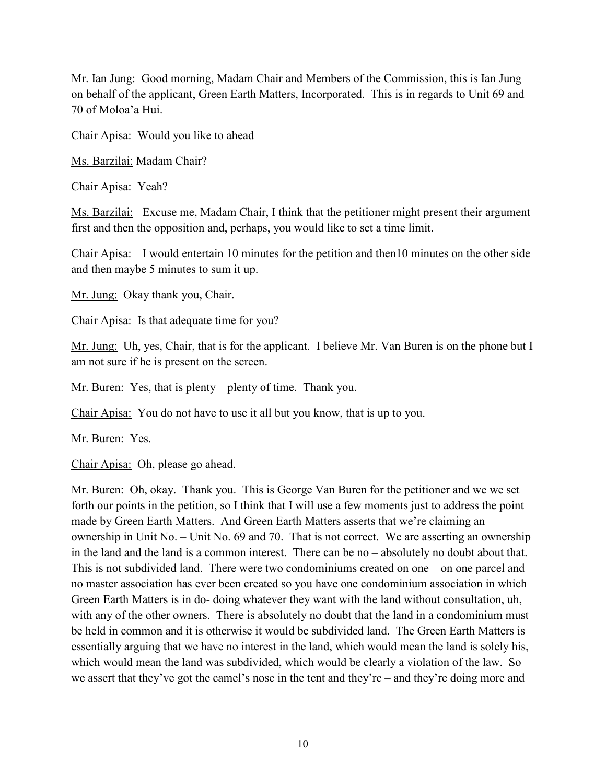Mr. Ian Jung: Good morning, Madam Chair and Members of the Commission, this is Ian Jung on behalf of the applicant, Green Earth Matters, Incorporated. This is in regards to Unit 69 and 70 of Moloa'a Hui.

Chair Apisa: Would you like to ahead—

Ms. Barzilai: Madam Chair?

Chair Apisa: Yeah?

Ms. Barzilai: Excuse me, Madam Chair, I think that the petitioner might present their argument first and then the opposition and, perhaps, you would like to set a time limit.

Chair Apisa: I would entertain 10 minutes for the petition and then10 minutes on the other side and then maybe 5 minutes to sum it up.

Mr. Jung: Okay thank you, Chair.

Chair Apisa: Is that adequate time for you?

Mr. Jung: Uh, yes, Chair, that is for the applicant. I believe Mr. Van Buren is on the phone but I am not sure if he is present on the screen.

Mr. Buren: Yes, that is plenty – plenty of time. Thank you.

Chair Apisa: You do not have to use it all but you know, that is up to you.

Mr. Buren: Yes.

Chair Apisa: Oh, please go ahead.

Mr. Buren: Oh, okay. Thank you. This is George Van Buren for the petitioner and we we set forth our points in the petition, so I think that I will use a few moments just to address the point made by Green Earth Matters. And Green Earth Matters asserts that we're claiming an ownership in Unit No. – Unit No. 69 and 70. That is not correct. We are asserting an ownership in the land and the land is a common interest. There can be no – absolutely no doubt about that. This is not subdivided land. There were two condominiums created on one – on one parcel and no master association has ever been created so you have one condominium association in which Green Earth Matters is in do- doing whatever they want with the land without consultation, uh, with any of the other owners. There is absolutely no doubt that the land in a condominium must be held in common and it is otherwise it would be subdivided land. The Green Earth Matters is essentially arguing that we have no interest in the land, which would mean the land is solely his, which would mean the land was subdivided, which would be clearly a violation of the law. So we assert that they've got the camel's nose in the tent and they're – and they're doing more and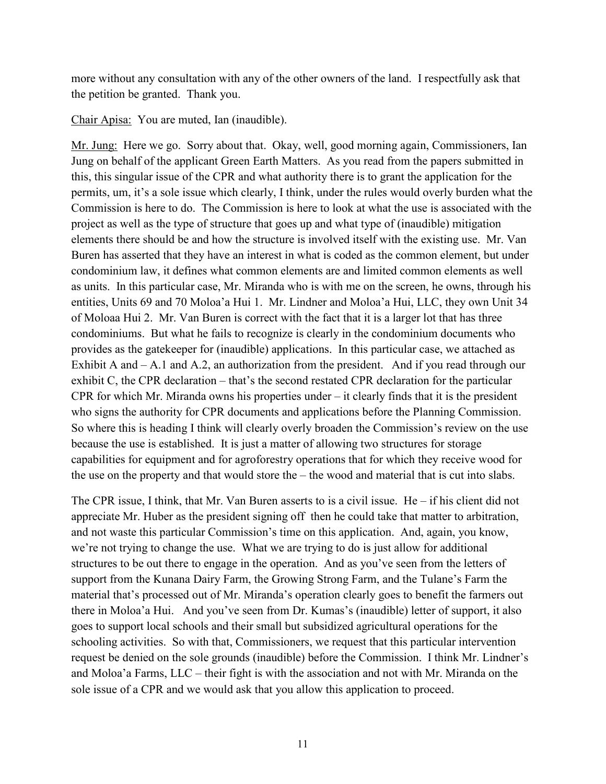more without any consultation with any of the other owners of the land. I respectfully ask that the petition be granted. Thank you.

Chair Apisa: You are muted, Ian (inaudible).

Mr. Jung: Here we go. Sorry about that. Okay, well, good morning again, Commissioners, Ian Jung on behalf of the applicant Green Earth Matters. As you read from the papers submitted in this, this singular issue of the CPR and what authority there is to grant the application for the permits, um, it's a sole issue which clearly, I think, under the rules would overly burden what the Commission is here to do. The Commission is here to look at what the use is associated with the project as well as the type of structure that goes up and what type of (inaudible) mitigation elements there should be and how the structure is involved itself with the existing use. Mr. Van Buren has asserted that they have an interest in what is coded as the common element, but under condominium law, it defines what common elements are and limited common elements as well as units. In this particular case, Mr. Miranda who is with me on the screen, he owns, through his entities, Units 69 and 70 Moloa'a Hui 1. Mr. Lindner and Moloa'a Hui, LLC, they own Unit 34 of Moloaa Hui 2. Mr. Van Buren is correct with the fact that it is a larger lot that has three condominiums. But what he fails to recognize is clearly in the condominium documents who provides as the gatekeeper for (inaudible) applications. In this particular case, we attached as Exhibit A and – A.1 and A.2, an authorization from the president. And if you read through our exhibit C, the CPR declaration – that's the second restated CPR declaration for the particular CPR for which Mr. Miranda owns his properties under – it clearly finds that it is the president who signs the authority for CPR documents and applications before the Planning Commission. So where this is heading I think will clearly overly broaden the Commission's review on the use because the use is established. It is just a matter of allowing two structures for storage capabilities for equipment and for agroforestry operations that for which they receive wood for the use on the property and that would store the – the wood and material that is cut into slabs.

The CPR issue, I think, that Mr. Van Buren asserts to is a civil issue. He – if his client did not appreciate Mr. Huber as the president signing off then he could take that matter to arbitration, and not waste this particular Commission's time on this application. And, again, you know, we're not trying to change the use. What we are trying to do is just allow for additional structures to be out there to engage in the operation. And as you've seen from the letters of support from the Kunana Dairy Farm, the Growing Strong Farm, and the Tulane's Farm the material that's processed out of Mr. Miranda's operation clearly goes to benefit the farmers out there in Moloa'a Hui. And you've seen from Dr. Kumas's (inaudible) letter of support, it also goes to support local schools and their small but subsidized agricultural operations for the schooling activities. So with that, Commissioners, we request that this particular intervention request be denied on the sole grounds (inaudible) before the Commission. I think Mr. Lindner's and Moloa'a Farms, LLC – their fight is with the association and not with Mr. Miranda on the sole issue of a CPR and we would ask that you allow this application to proceed.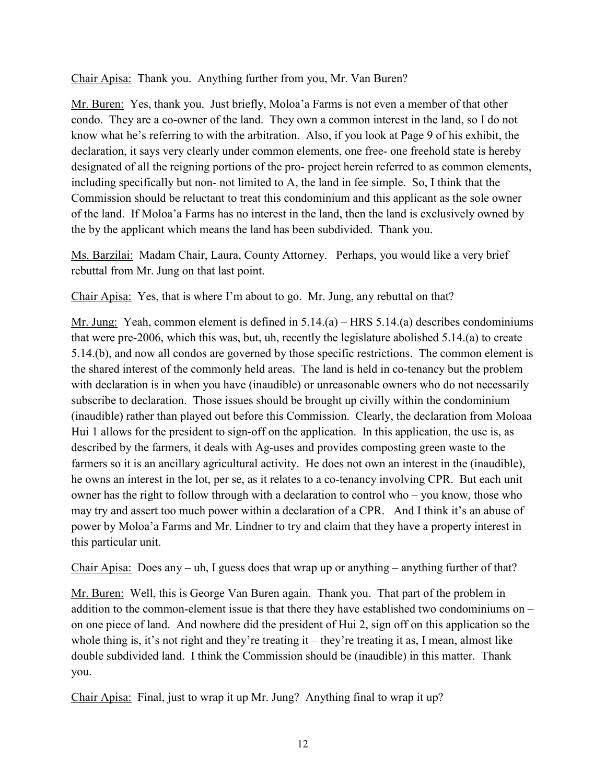Chair Apisa: Thank you. Anything further from you, Mr. Van Buren?

Mr. Buren: Yes, thank you. Just briefly, Moloa'a Farms is not even a member of that other condo. They are a co-owner of the land. They own a common interest in the land, so I do not know what he's referring to with the arbitration. Also, if you look at Page 9 of his exhibit, the declaration, it says very clearly under common elements, one free- one freehold state is hereby designated of all the reigning portions of the pro- project herein referred to as common elements, including specifically but non- not limited to A, the land in fee simple. So, I think that the Commission should be reluctant to treat this condominium and this applicant as the sole owner of the land. If Moloa'a Farms has no interest in the land, then the land is exclusively owned by the by the applicant which means the land has been subdivided. Thank you.

Ms. Barzilai: Madam Chair, Laura, County Attorney. Perhaps, you would like a very brief rebuttal from Mr. Jung on that last point.

Chair Apisa: Yes, that is where I'm about to go. Mr. Jung, any rebuttal on that?

Mr. Jung: Yeah, common element is defined in 5.14.(a) – HRS 5.14.(a) describes condominiums that were pre-2006, which this was, but, uh, recently the legislature abolished 5.14.(a) to create 5.14.(b), and now all condos are governed by those specific restrictions. The common element is the shared interest of the commonly held areas. The land is held in co-tenancy but the problem with declaration is in when you have (inaudible) or unreasonable owners who do not necessarily subscribe to declaration. Those issues should be brought up civilly within the condominium (inaudible) rather than played out before this Commission. Clearly, the declaration from Moloaa Hui 1 allows for the president to sign-off on the application. In this application, the use is, as described by the farmers, it deals with Ag-uses and provides composting green waste to the farmers so it is an ancillary agricultural activity. He does not own an interest in the (inaudible), he owns an interest in the lot, per se, as it relates to a co-tenancy involving CPR. But each unit owner has the right to follow through with a declaration to control who – you know, those who may try and assert too much power within a declaration of a CPR. And I think it's an abuse of power by Moloa'a Farms and Mr. Lindner to try and claim that they have a property interest in this particular unit.

Chair Apisa: Does any – uh, I guess does that wrap up or anything – anything further of that?

Mr. Buren: Well, this is George Van Buren again. Thank you. That part of the problem in addition to the common-element issue is that there they have established two condominiums on – on one piece of land. And nowhere did the president of Hui 2, sign off on this application so the whole thing is, it's not right and they're treating it – they're treating it as, I mean, almost like double subdivided land. I think the Commission should be (inaudible) in this matter. Thank you.

Chair Apisa: Final, just to wrap it up Mr. Jung? Anything final to wrap it up?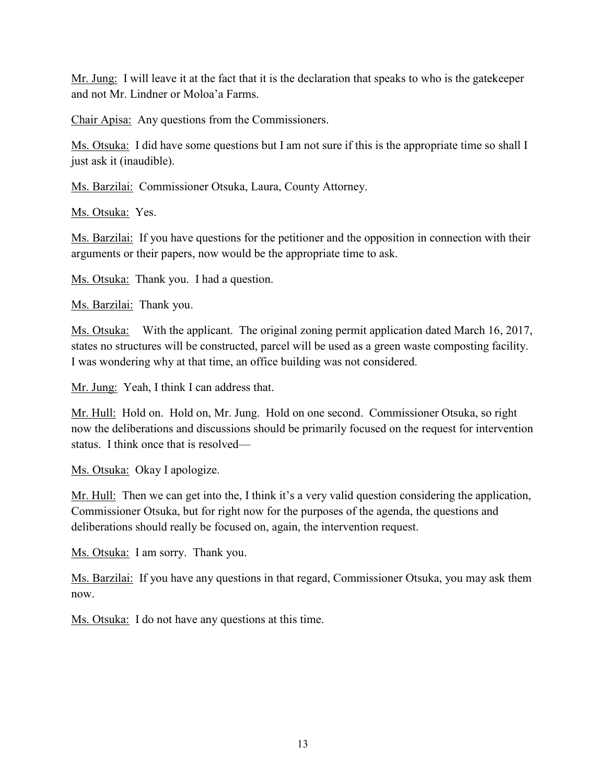Mr. Jung: I will leave it at the fact that it is the declaration that speaks to who is the gatekeeper and not Mr. Lindner or Moloa'a Farms.

Chair Apisa: Any questions from the Commissioners.

Ms. Otsuka: I did have some questions but I am not sure if this is the appropriate time so shall I just ask it (inaudible).

Ms. Barzilai: Commissioner Otsuka, Laura, County Attorney.

Ms. Otsuka: Yes.

Ms. Barzilai: If you have questions for the petitioner and the opposition in connection with their arguments or their papers, now would be the appropriate time to ask.

Ms. Otsuka: Thank you. I had a question.

Ms. Barzilai: Thank you.

Ms. Otsuka: With the applicant. The original zoning permit application dated March 16, 2017, states no structures will be constructed, parcel will be used as a green waste composting facility. I was wondering why at that time, an office building was not considered.

Mr. Jung: Yeah, I think I can address that.

Mr. Hull: Hold on. Hold on, Mr. Jung. Hold on one second. Commissioner Otsuka, so right now the deliberations and discussions should be primarily focused on the request for intervention status. I think once that is resolved—

Ms. Otsuka: Okay I apologize.

Mr. Hull: Then we can get into the, I think it's a very valid question considering the application, Commissioner Otsuka, but for right now for the purposes of the agenda, the questions and deliberations should really be focused on, again, the intervention request.

Ms. Otsuka: I am sorry. Thank you.

Ms. Barzilai: If you have any questions in that regard, Commissioner Otsuka, you may ask them now.

Ms. Otsuka: I do not have any questions at this time.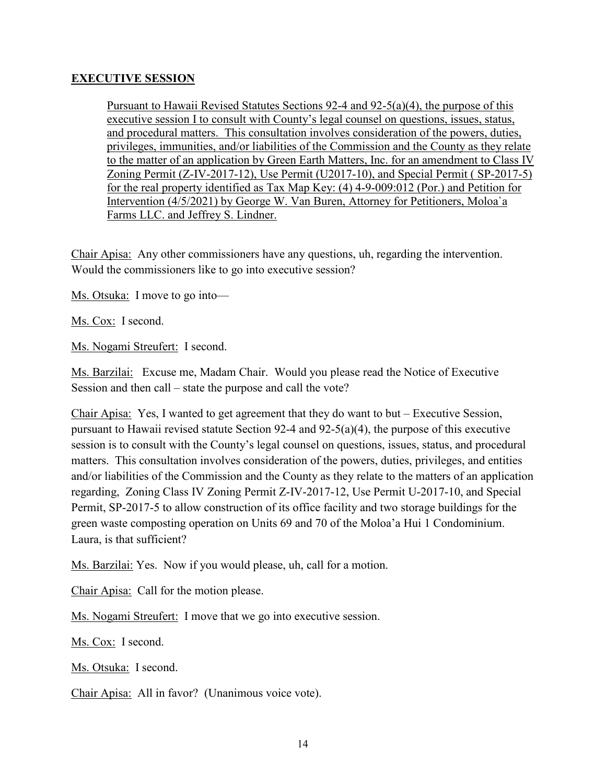## **EXECUTIVE SESSION**

Pursuant to Hawaii Revised Statutes Sections 92-4 and 92-5(a)(4), the purpose of this executive session I to consult with County's legal counsel on questions, issues, status, and procedural matters. This consultation involves consideration of the powers, duties, privileges, immunities, and/or liabilities of the Commission and the County as they relate to the matter of an application by Green Earth Matters, Inc. for an amendment to Class IV Zoning Permit (Z-IV-2017-12), Use Permit (U2017-10), and Special Permit ( SP-2017-5) for the real property identified as Tax Map Key: (4) 4-9-009:012 (Por.) and Petition for Intervention (4/5/2021) by George W. Van Buren, Attorney for Petitioners, Moloa`a Farms LLC. and Jeffrey S. Lindner.

Chair Apisa: Any other commissioners have any questions, uh, regarding the intervention. Would the commissioners like to go into executive session?

Ms. Otsuka: I move to go into—

Ms. Cox: I second.

Ms. Nogami Streufert: I second.

Ms. Barzilai: Excuse me, Madam Chair. Would you please read the Notice of Executive Session and then call – state the purpose and call the vote?

Chair Apisa: Yes, I wanted to get agreement that they do want to but – Executive Session, pursuant to Hawaii revised statute Section 92-4 and 92-5(a)(4), the purpose of this executive session is to consult with the County's legal counsel on questions, issues, status, and procedural matters. This consultation involves consideration of the powers, duties, privileges, and entities and/or liabilities of the Commission and the County as they relate to the matters of an application regarding, Zoning Class IV Zoning Permit Z-IV-2017-12, Use Permit U-2017-10, and Special Permit, SP-2017-5 to allow construction of its office facility and two storage buildings for the green waste composting operation on Units 69 and 70 of the Moloa'a Hui 1 Condominium. Laura, is that sufficient?

Ms. Barzilai: Yes. Now if you would please, uh, call for a motion.

Chair Apisa: Call for the motion please.

Ms. Nogami Streufert: I move that we go into executive session.

Ms. Cox: I second.

Ms. Otsuka: I second.

Chair Apisa: All in favor? (Unanimous voice vote).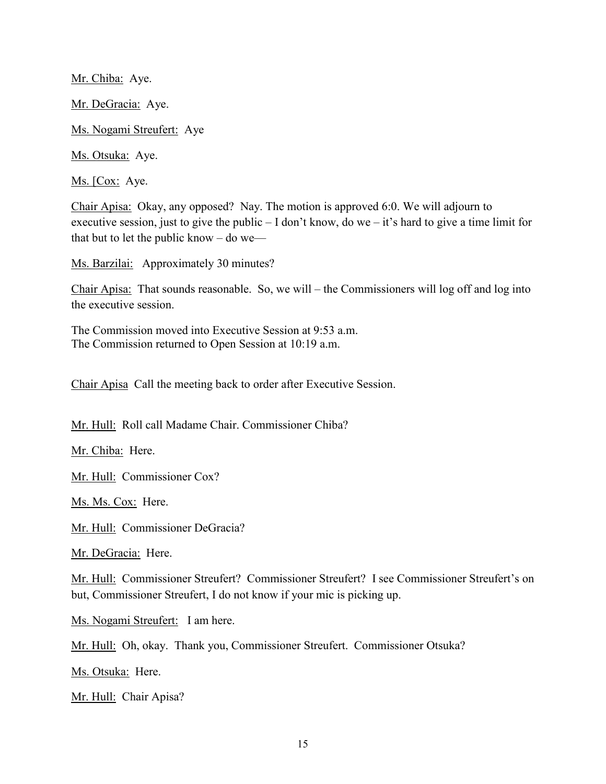Mr. Chiba: Aye. Mr. DeGracia: Aye. Ms. Nogami Streufert: Aye Ms. Otsuka: Aye.

Ms. [Cox: Aye.

Chair Apisa: Okay, any opposed? Nay. The motion is approved 6:0. We will adjourn to executive session, just to give the public – I don't know, do we – it's hard to give a time limit for that but to let the public know  $-$  do we—

Ms. Barzilai: Approximately 30 minutes?

Chair Apisa: That sounds reasonable. So, we will – the Commissioners will log off and log into the executive session.

The Commission moved into Executive Session at 9:53 a.m. The Commission returned to Open Session at 10:19 a.m.

Chair Apisa Call the meeting back to order after Executive Session.

Mr. Hull: Roll call Madame Chair. Commissioner Chiba?

Mr. Chiba: Here.

Mr. Hull: Commissioner Cox?

Ms. Ms. Cox: Here.

Mr. Hull: Commissioner DeGracia?

Mr. DeGracia: Here.

Mr. Hull: Commissioner Streufert? Commissioner Streufert? I see Commissioner Streufert's on but, Commissioner Streufert, I do not know if your mic is picking up.

Ms. Nogami Streufert: I am here.

Mr. Hull: Oh, okay. Thank you, Commissioner Streufert. Commissioner Otsuka?

Ms. Otsuka: Here.

Mr. Hull: Chair Apisa?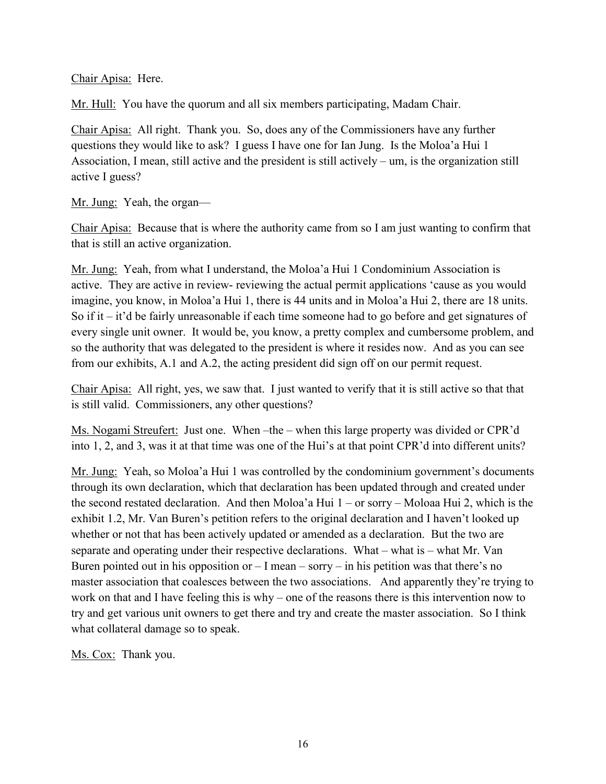Chair Apisa: Here.

Mr. Hull: You have the quorum and all six members participating, Madam Chair.

Chair Apisa: All right. Thank you. So, does any of the Commissioners have any further questions they would like to ask? I guess I have one for Ian Jung. Is the Moloa'a Hui 1 Association, I mean, still active and the president is still actively – um, is the organization still active I guess?

Mr. Jung: Yeah, the organ—

Chair Apisa: Because that is where the authority came from so I am just wanting to confirm that that is still an active organization.

Mr. Jung: Yeah, from what I understand, the Moloa'a Hui 1 Condominium Association is active. They are active in review- reviewing the actual permit applications 'cause as you would imagine, you know, in Moloa'a Hui 1, there is 44 units and in Moloa'a Hui 2, there are 18 units. So if it – it'd be fairly unreasonable if each time someone had to go before and get signatures of every single unit owner. It would be, you know, a pretty complex and cumbersome problem, and so the authority that was delegated to the president is where it resides now. And as you can see from our exhibits, A.1 and A.2, the acting president did sign off on our permit request.

Chair Apisa: All right, yes, we saw that. I just wanted to verify that it is still active so that that is still valid. Commissioners, any other questions?

Ms. Nogami Streufert: Just one. When –the – when this large property was divided or CPR'd into 1, 2, and 3, was it at that time was one of the Hui's at that point CPR'd into different units?

Mr. Jung: Yeah, so Moloa'a Hui 1 was controlled by the condominium government's documents through its own declaration, which that declaration has been updated through and created under the second restated declaration. And then Moloa'a Hui 1 – or sorry – Moloaa Hui 2, which is the exhibit 1.2, Mr. Van Buren's petition refers to the original declaration and I haven't looked up whether or not that has been actively updated or amended as a declaration. But the two are separate and operating under their respective declarations. What – what is – what Mr. Van Buren pointed out in his opposition or  $-I$  mean – sorry – in his petition was that there's no master association that coalesces between the two associations. And apparently they're trying to work on that and I have feeling this is why – one of the reasons there is this intervention now to try and get various unit owners to get there and try and create the master association. So I think what collateral damage so to speak.

Ms. Cox: Thank you.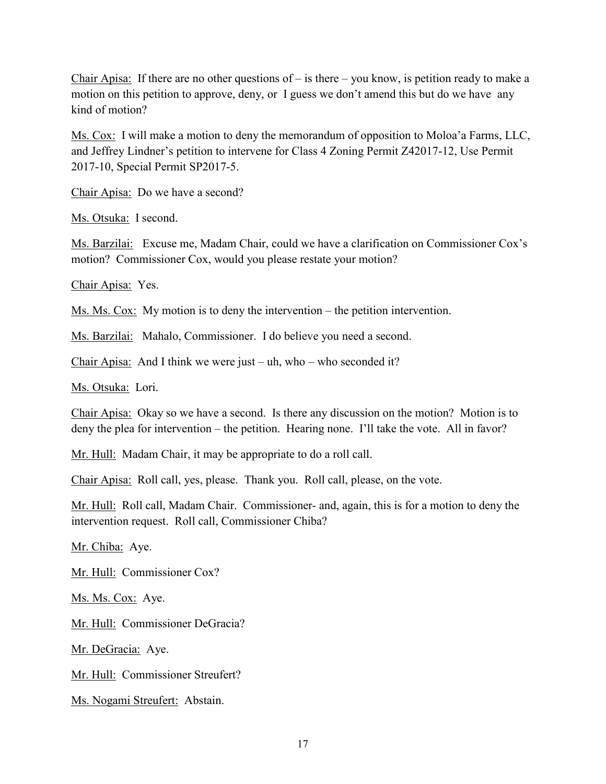Chair Apisa: If there are no other questions of – is there – you know, is petition ready to make a motion on this petition to approve, deny, or I guess we don't amend this but do we have any kind of motion?

Ms. Cox: I will make a motion to deny the memorandum of opposition to Moloa'a Farms, LLC, and Jeffrey Lindner's petition to intervene for Class 4 Zoning Permit Z42017-12, Use Permit 2017-10, Special Permit SP2017-5.

Chair Apisa: Do we have a second?

Ms. Otsuka: I second.

Ms. Barzilai: Excuse me, Madam Chair, could we have a clarification on Commissioner Cox's motion? Commissioner Cox, would you please restate your motion?

Chair Apisa: Yes.

Ms. Ms. Cox: My motion is to deny the intervention – the petition intervention.

Ms. Barzilai: Mahalo, Commissioner. I do believe you need a second.

Chair Apisa: And I think we were just – uh, who – who seconded it?

Ms. Otsuka: Lori.

Chair Apisa: Okay so we have a second. Is there any discussion on the motion? Motion is to deny the plea for intervention – the petition. Hearing none. I'll take the vote. All in favor?

Mr. Hull: Madam Chair, it may be appropriate to do a roll call.

Chair Apisa: Roll call, yes, please. Thank you. Roll call, please, on the vote.

Mr. Hull: Roll call, Madam Chair. Commissioner- and, again, this is for a motion to deny the intervention request. Roll call, Commissioner Chiba?

Mr. Chiba: Aye.

Mr. Hull: Commissioner Cox?

Ms. Ms. Cox: Aye.

Mr. Hull: Commissioner DeGracia?

Mr. DeGracia: Aye.

Mr. Hull: Commissioner Streufert?

Ms. Nogami Streufert: Abstain.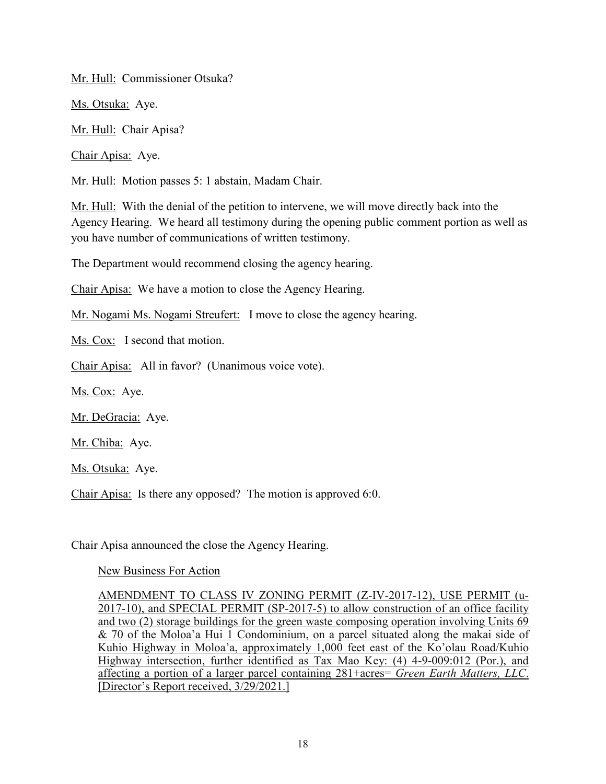Mr. Hull: Commissioner Otsuka?

Ms. Otsuka: Aye.

Mr. Hull: Chair Apisa?

Chair Apisa: Aye.

Mr. Hull: Motion passes 5: 1 abstain, Madam Chair.

Mr. Hull: With the denial of the petition to intervene, we will move directly back into the Agency Hearing. We heard all testimony during the opening public comment portion as well as you have number of communications of written testimony.

The Department would recommend closing the agency hearing.

Chair Apisa: We have a motion to close the Agency Hearing.

Mr. Nogami Ms. Nogami Streufert: I move to close the agency hearing.

Ms. Cox: I second that motion.

Chair Apisa: All in favor? (Unanimous voice vote).

Ms. Cox: Aye.

Mr. DeGracia: Aye.

Mr. Chiba: Aye.

Ms. Otsuka: Aye.

Chair Apisa: Is there any opposed? The motion is approved 6:0.

Chair Apisa announced the close the Agency Hearing.

New Business For Action

AMENDMENT TO CLASS IV ZONING PERMIT (Z-IV-2017-12), USE PERMIT (u-2017-10), and SPECIAL PERMIT (SP-2017-5) to allow construction of an office facility and two (2) storage buildings for the green waste composing operation involving Units 69 & 70 of the Moloa'a Hui 1 Condominium, on a parcel situated along the makai side of Kuhio Highway in Moloa'a, approximately 1,000 feet east of the Ko'olau Road/Kuhio Highway intersection, further identified as Tax Mao Key: (4) 4-9-009:012 (Por.), and affecting a portion of a larger parcel containing 281+acres= *Green Earth Matters, LLC*. [Director's Report received, 3/29/2021.]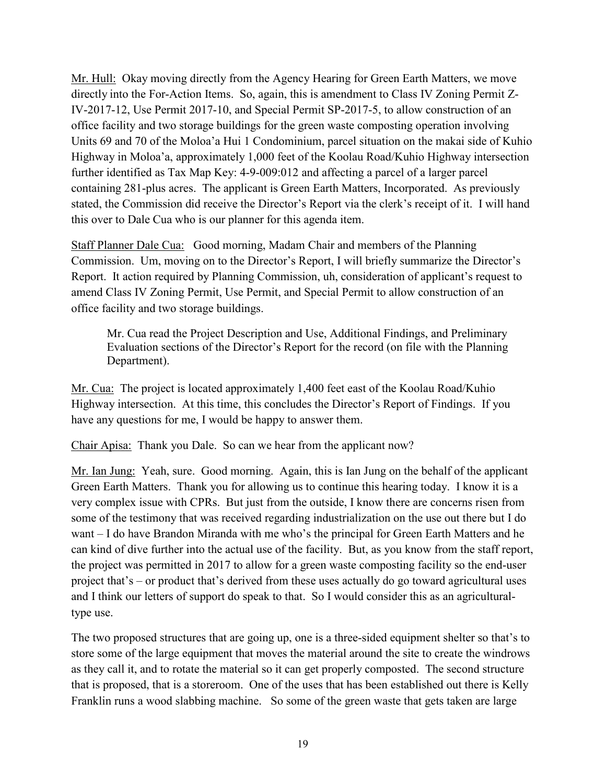Mr. Hull: Okay moving directly from the Agency Hearing for Green Earth Matters, we move directly into the For-Action Items. So, again, this is amendment to Class IV Zoning Permit Z-IV-2017-12, Use Permit 2017-10, and Special Permit SP-2017-5, to allow construction of an office facility and two storage buildings for the green waste composting operation involving Units 69 and 70 of the Moloa'a Hui 1 Condominium, parcel situation on the makai side of Kuhio Highway in Moloa'a, approximately 1,000 feet of the Koolau Road/Kuhio Highway intersection further identified as Tax Map Key: 4-9-009:012 and affecting a parcel of a larger parcel containing 281-plus acres. The applicant is Green Earth Matters, Incorporated. As previously stated, the Commission did receive the Director's Report via the clerk's receipt of it. I will hand this over to Dale Cua who is our planner for this agenda item.

Staff Planner Dale Cua: Good morning, Madam Chair and members of the Planning Commission. Um, moving on to the Director's Report, I will briefly summarize the Director's Report. It action required by Planning Commission, uh, consideration of applicant's request to amend Class IV Zoning Permit, Use Permit, and Special Permit to allow construction of an office facility and two storage buildings.

Mr. Cua read the Project Description and Use, Additional Findings, and Preliminary Evaluation sections of the Director's Report for the record (on file with the Planning Department).

Mr. Cua: The project is located approximately 1,400 feet east of the Koolau Road/Kuhio Highway intersection. At this time, this concludes the Director's Report of Findings. If you have any questions for me, I would be happy to answer them.

Chair Apisa: Thank you Dale. So can we hear from the applicant now?

Mr. Ian Jung: Yeah, sure. Good morning. Again, this is Ian Jung on the behalf of the applicant Green Earth Matters. Thank you for allowing us to continue this hearing today. I know it is a very complex issue with CPRs. But just from the outside, I know there are concerns risen from some of the testimony that was received regarding industrialization on the use out there but I do want – I do have Brandon Miranda with me who's the principal for Green Earth Matters and he can kind of dive further into the actual use of the facility. But, as you know from the staff report, the project was permitted in 2017 to allow for a green waste composting facility so the end-user project that's – or product that's derived from these uses actually do go toward agricultural uses and I think our letters of support do speak to that. So I would consider this as an agriculturaltype use.

The two proposed structures that are going up, one is a three-sided equipment shelter so that's to store some of the large equipment that moves the material around the site to create the windrows as they call it, and to rotate the material so it can get properly composted. The second structure that is proposed, that is a storeroom. One of the uses that has been established out there is Kelly Franklin runs a wood slabbing machine. So some of the green waste that gets taken are large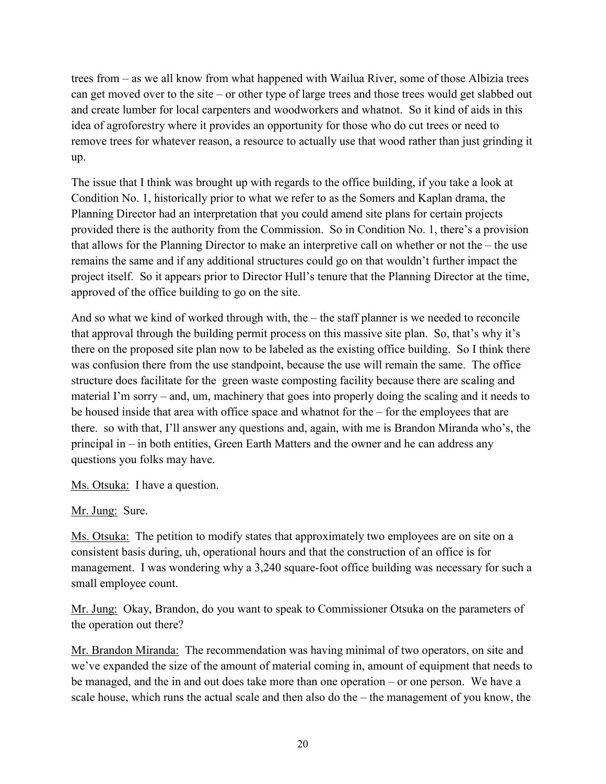trees from – as we all know from what happened with Wailua River, some of those Albizia trees can get moved over to the site – or other type of large trees and those trees would get slabbed out and create lumber for local carpenters and woodworkers and whatnot. So it kind of aids in this idea of agroforestry where it provides an opportunity for those who do cut trees or need to remove trees for whatever reason, a resource to actually use that wood rather than just grinding it up.

The issue that I think was brought up with regards to the office building, if you take a look at Condition No. 1, historically prior to what we refer to as the Somers and Kaplan drama, the Planning Director had an interpretation that you could amend site plans for certain projects provided there is the authority from the Commission. So in Condition No. 1, there's a provision that allows for the Planning Director to make an interpretive call on whether or not the – the use remains the same and if any additional structures could go on that wouldn't further impact the project itself. So it appears prior to Director Hull's tenure that the Planning Director at the time, approved of the office building to go on the site.

And so what we kind of worked through with, the – the staff planner is we needed to reconcile that approval through the building permit process on this massive site plan. So, that's why it's there on the proposed site plan now to be labeled as the existing office building. So I think there was confusion there from the use standpoint, because the use will remain the same. The office structure does facilitate for the green waste composting facility because there are scaling and material I'm sorry – and, um, machinery that goes into properly doing the scaling and it needs to be housed inside that area with office space and whatnot for the – for the employees that are there. so with that, I'll answer any questions and, again, with me is Brandon Miranda who's, the principal in – in both entities, Green Earth Matters and the owner and he can address any questions you folks may have.

Ms. Otsuka: I have a question.

Mr. Jung: Sure.

Ms. Otsuka: The petition to modify states that approximately two employees are on site on a consistent basis during, uh, operational hours and that the construction of an office is for management. I was wondering why a 3,240 square-foot office building was necessary for such a small employee count.

Mr. Jung: Okay, Brandon, do you want to speak to Commissioner Otsuka on the parameters of the operation out there?

Mr. Brandon Miranda: The recommendation was having minimal of two operators, on site and we've expanded the size of the amount of material coming in, amount of equipment that needs to be managed, and the in and out does take more than one operation – or one person. We have a scale house, which runs the actual scale and then also do the – the management of you know, the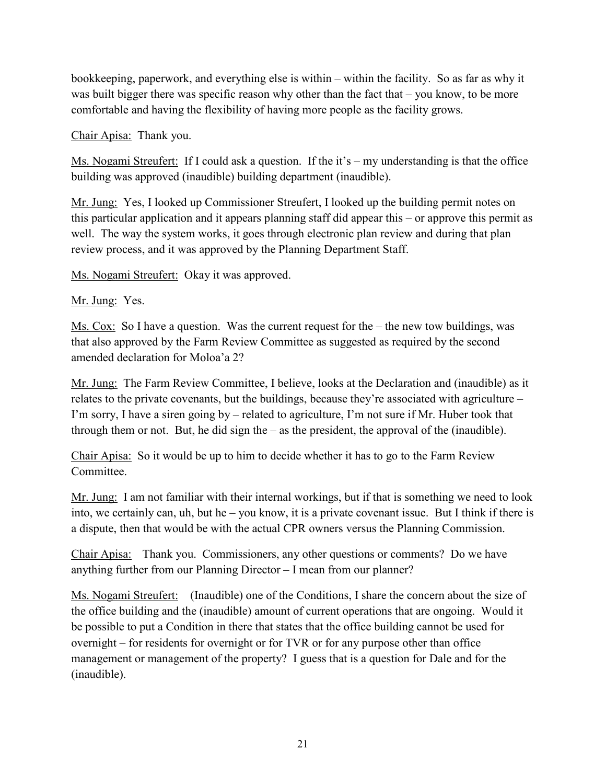bookkeeping, paperwork, and everything else is within – within the facility. So as far as why it was built bigger there was specific reason why other than the fact that – you know, to be more comfortable and having the flexibility of having more people as the facility grows.

Chair Apisa: Thank you.

Ms. Nogami Streufert: If I could ask a question. If the it's – my understanding is that the office building was approved (inaudible) building department (inaudible).

Mr. Jung: Yes, I looked up Commissioner Streufert, I looked up the building permit notes on this particular application and it appears planning staff did appear this – or approve this permit as well. The way the system works, it goes through electronic plan review and during that plan review process, and it was approved by the Planning Department Staff.

Ms. Nogami Streufert: Okay it was approved.

Mr. Jung: Yes.

Ms. Cox: So I have a question. Was the current request for the – the new tow buildings, was that also approved by the Farm Review Committee as suggested as required by the second amended declaration for Moloa'a 2?

Mr. Jung: The Farm Review Committee, I believe, looks at the Declaration and (inaudible) as it relates to the private covenants, but the buildings, because they're associated with agriculture – I'm sorry, I have a siren going by – related to agriculture, I'm not sure if Mr. Huber took that through them or not. But, he did sign the – as the president, the approval of the (inaudible).

Chair Apisa: So it would be up to him to decide whether it has to go to the Farm Review Committee.

Mr. Jung: I am not familiar with their internal workings, but if that is something we need to look into, we certainly can, uh, but he – you know, it is a private covenant issue. But I think if there is a dispute, then that would be with the actual CPR owners versus the Planning Commission.

Chair Apisa: Thank you. Commissioners, any other questions or comments? Do we have anything further from our Planning Director – I mean from our planner?

Ms. Nogami Streufert: (Inaudible) one of the Conditions, I share the concern about the size of the office building and the (inaudible) amount of current operations that are ongoing. Would it be possible to put a Condition in there that states that the office building cannot be used for overnight – for residents for overnight or for TVR or for any purpose other than office management or management of the property? I guess that is a question for Dale and for the (inaudible).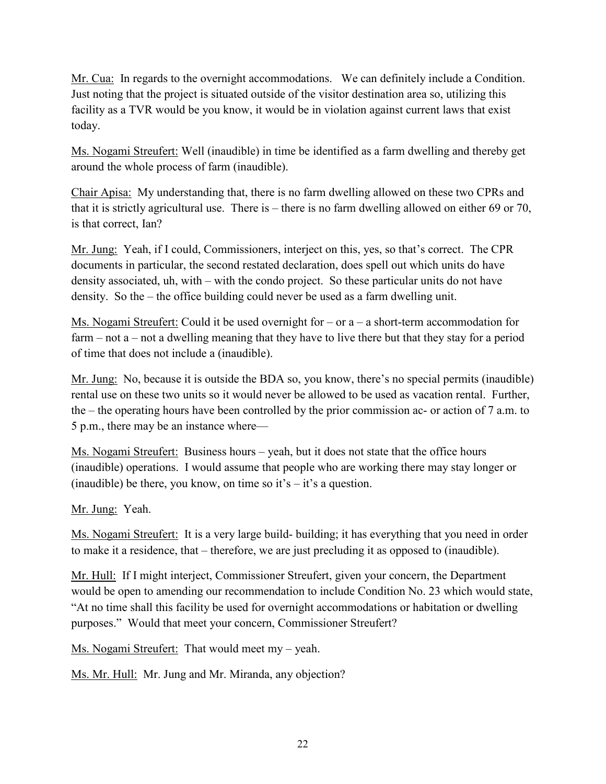Mr. Cua: In regards to the overnight accommodations. We can definitely include a Condition. Just noting that the project is situated outside of the visitor destination area so, utilizing this facility as a TVR would be you know, it would be in violation against current laws that exist today.

Ms. Nogami Streufert: Well (inaudible) in time be identified as a farm dwelling and thereby get around the whole process of farm (inaudible).

Chair Apisa: My understanding that, there is no farm dwelling allowed on these two CPRs and that it is strictly agricultural use. There is – there is no farm dwelling allowed on either 69 or 70, is that correct, Ian?

Mr. Jung: Yeah, if I could, Commissioners, interject on this, yes, so that's correct. The CPR documents in particular, the second restated declaration, does spell out which units do have density associated, uh, with – with the condo project. So these particular units do not have density. So the – the office building could never be used as a farm dwelling unit.

Ms. Nogami Streufert: Could it be used overnight for – or a – a short-term accommodation for farm – not a – not a dwelling meaning that they have to live there but that they stay for a period of time that does not include a (inaudible).

Mr. Jung: No, because it is outside the BDA so, you know, there's no special permits (inaudible) rental use on these two units so it would never be allowed to be used as vacation rental. Further, the – the operating hours have been controlled by the prior commission ac- or action of 7 a.m. to 5 p.m., there may be an instance where—

Ms. Nogami Streufert: Business hours – yeah, but it does not state that the office hours (inaudible) operations. I would assume that people who are working there may stay longer or (inaudible) be there, you know, on time so it's  $-$  it's a question.

Mr. Jung: Yeah.

Ms. Nogami Streufert: It is a very large build- building; it has everything that you need in order to make it a residence, that – therefore, we are just precluding it as opposed to (inaudible).

Mr. Hull: If I might interject, Commissioner Streufert, given your concern, the Department would be open to amending our recommendation to include Condition No. 23 which would state, "At no time shall this facility be used for overnight accommodations or habitation or dwelling purposes." Would that meet your concern, Commissioner Streufert?

Ms. Nogami Streufert: That would meet my – yeah.

Ms. Mr. Hull: Mr. Jung and Mr. Miranda, any objection?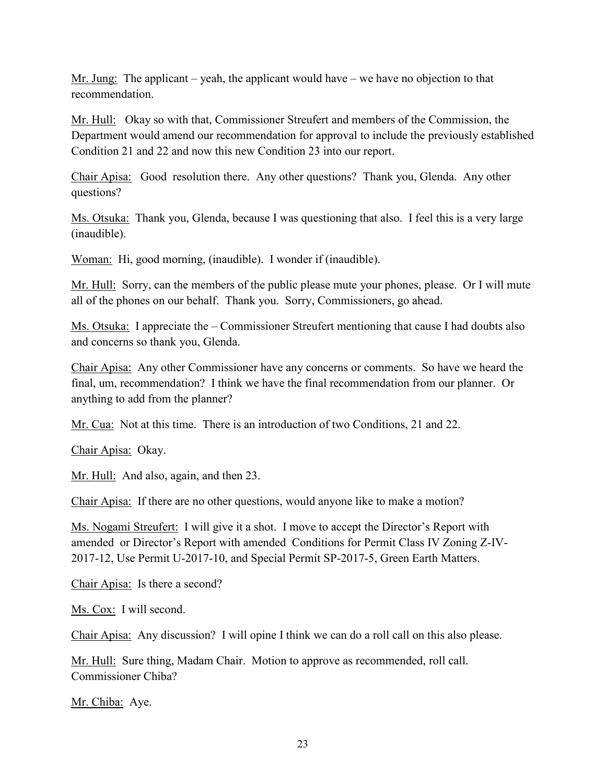Mr. Jung: The applicant – yeah, the applicant would have – we have no objection to that recommendation.

Mr. Hull: Okay so with that, Commissioner Streufert and members of the Commission, the Department would amend our recommendation for approval to include the previously established Condition 21 and 22 and now this new Condition 23 into our report.

Chair Apisa: Good resolution there. Any other questions? Thank you, Glenda. Any other questions?

Ms. Otsuka: Thank you, Glenda, because I was questioning that also. I feel this is a very large (inaudible).

Woman: Hi, good morning, (inaudible). I wonder if (inaudible).

Mr. Hull: Sorry, can the members of the public please mute your phones, please. Or I will mute all of the phones on our behalf. Thank you. Sorry, Commissioners, go ahead.

Ms. Otsuka: I appreciate the – Commissioner Streufert mentioning that cause I had doubts also and concerns so thank you, Glenda.

Chair Apisa: Any other Commissioner have any concerns or comments. So have we heard the final, um, recommendation? I think we have the final recommendation from our planner. Or anything to add from the planner?

Mr. Cua: Not at this time. There is an introduction of two Conditions, 21 and 22.

Chair Apisa: Okay.

Mr. Hull: And also, again, and then 23.

Chair Apisa: If there are no other questions, would anyone like to make a motion?

Ms. Nogami Streufert: I will give it a shot. I move to accept the Director's Report with amended or Director's Report with amended Conditions for Permit Class IV Zoning Z-IV-2017-12, Use Permit U-2017-10, and Special Permit SP-2017-5, Green Earth Matters.

Chair Apisa: Is there a second?

Ms. Cox: I will second.

Chair Apisa: Any discussion? I will opine I think we can do a roll call on this also please.

Mr. Hull: Sure thing, Madam Chair. Motion to approve as recommended, roll call. Commissioner Chiba?

Mr. Chiba: Aye.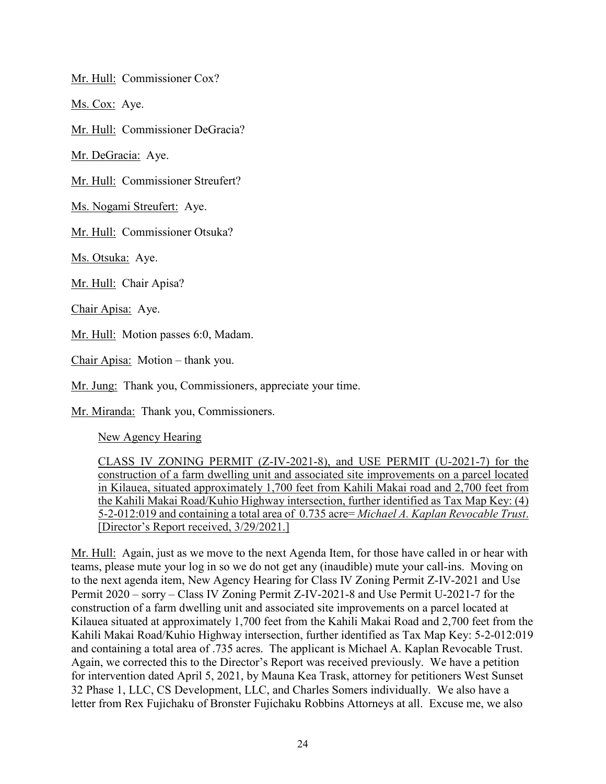Mr. Hull: Commissioner Cox?

Ms. Cox: Aye.

Mr. Hull: Commissioner DeGracia?

Mr. DeGracia: Aye.

Mr. Hull: Commissioner Streufert?

Ms. Nogami Streufert: Aye.

Mr. Hull: Commissioner Otsuka?

Ms. Otsuka: Aye.

Mr. Hull: Chair Apisa?

Chair Apisa: Aye.

Mr. Hull: Motion passes 6:0, Madam.

Chair Apisa: Motion – thank you.

Mr. Jung: Thank you, Commissioners, appreciate your time.

Mr. Miranda: Thank you, Commissioners.

New Agency Hearing

CLASS IV ZONING PERMIT (Z-IV-2021-8), and USE PERMIT (U-2021-7) for the construction of a farm dwelling unit and associated site improvements on a parcel located in Kilauea, situated approximately 1,700 feet from Kahili Makai road and 2,700 feet from the Kahili Makai Road/Kuhio Highway intersection, further identified as Tax Map Key: (4) 5-2-012:019 and containing a total area of 0.735 acre= *Michael A. Kaplan Revocable Trust*. [Director's Report received, 3/29/2021.]

Mr. Hull: Again, just as we move to the next Agenda Item, for those have called in or hear with teams, please mute your log in so we do not get any (inaudible) mute your call-ins. Moving on to the next agenda item, New Agency Hearing for Class IV Zoning Permit Z-IV-2021 and Use Permit 2020 – sorry – Class IV Zoning Permit Z-IV-2021-8 and Use Permit U-2021-7 for the construction of a farm dwelling unit and associated site improvements on a parcel located at Kilauea situated at approximately 1,700 feet from the Kahili Makai Road and 2,700 feet from the Kahili Makai Road/Kuhio Highway intersection, further identified as Tax Map Key: 5-2-012:019 and containing a total area of .735 acres. The applicant is Michael A. Kaplan Revocable Trust. Again, we corrected this to the Director's Report was received previously. We have a petition for intervention dated April 5, 2021, by Mauna Kea Trask, attorney for petitioners West Sunset 32 Phase 1, LLC, CS Development, LLC, and Charles Somers individually. We also have a letter from Rex Fujichaku of Bronster Fujichaku Robbins Attorneys at all. Excuse me, we also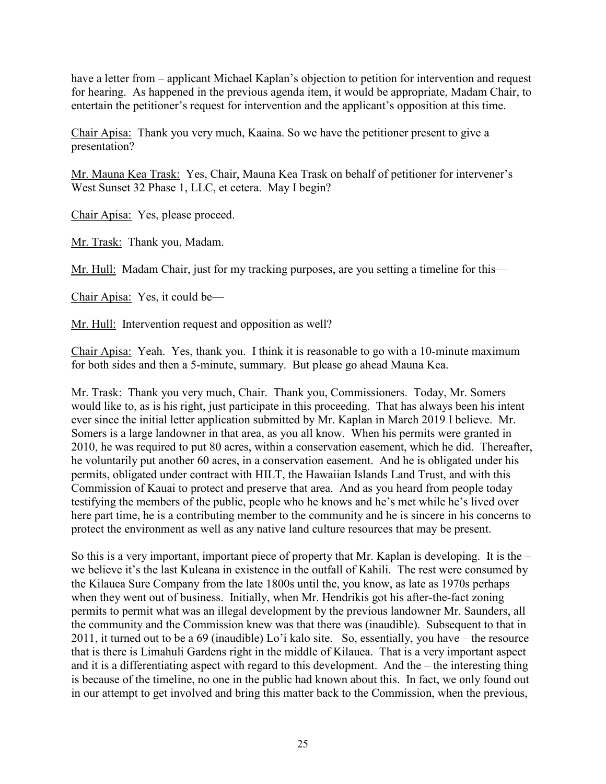have a letter from – applicant Michael Kaplan's objection to petition for intervention and request for hearing. As happened in the previous agenda item, it would be appropriate, Madam Chair, to entertain the petitioner's request for intervention and the applicant's opposition at this time.

Chair Apisa: Thank you very much, Kaaina. So we have the petitioner present to give a presentation?

Mr. Mauna Kea Trask: Yes, Chair, Mauna Kea Trask on behalf of petitioner for intervener's West Sunset 32 Phase 1, LLC, et cetera. May I begin?

Chair Apisa: Yes, please proceed.

Mr. Trask: Thank you, Madam.

Mr. Hull: Madam Chair, just for my tracking purposes, are you setting a timeline for this—

Chair Apisa: Yes, it could be—

Mr. Hull: Intervention request and opposition as well?

Chair Apisa: Yeah. Yes, thank you. I think it is reasonable to go with a 10-minute maximum for both sides and then a 5-minute, summary. But please go ahead Mauna Kea.

Mr. Trask: Thank you very much, Chair. Thank you, Commissioners. Today, Mr. Somers would like to, as is his right, just participate in this proceeding. That has always been his intent ever since the initial letter application submitted by Mr. Kaplan in March 2019 I believe. Mr. Somers is a large landowner in that area, as you all know. When his permits were granted in 2010, he was required to put 80 acres, within a conservation easement, which he did. Thereafter, he voluntarily put another 60 acres, in a conservation easement. And he is obligated under his permits, obligated under contract with HILT, the Hawaiian Islands Land Trust, and with this Commission of Kauai to protect and preserve that area. And as you heard from people today testifying the members of the public, people who he knows and he's met while he's lived over here part time, he is a contributing member to the community and he is sincere in his concerns to protect the environment as well as any native land culture resources that may be present.

So this is a very important, important piece of property that Mr. Kaplan is developing. It is the – we believe it's the last Kuleana in existence in the outfall of Kahili. The rest were consumed by the Kilauea Sure Company from the late 1800s until the, you know, as late as 1970s perhaps when they went out of business. Initially, when Mr. Hendrikis got his after-the-fact zoning permits to permit what was an illegal development by the previous landowner Mr. Saunders, all the community and the Commission knew was that there was (inaudible). Subsequent to that in 2011, it turned out to be a 69 (inaudible) Lo'i kalo site. So, essentially, you have – the resource that is there is Limahuli Gardens right in the middle of Kilauea. That is a very important aspect and it is a differentiating aspect with regard to this development. And the – the interesting thing is because of the timeline, no one in the public had known about this. In fact, we only found out in our attempt to get involved and bring this matter back to the Commission, when the previous,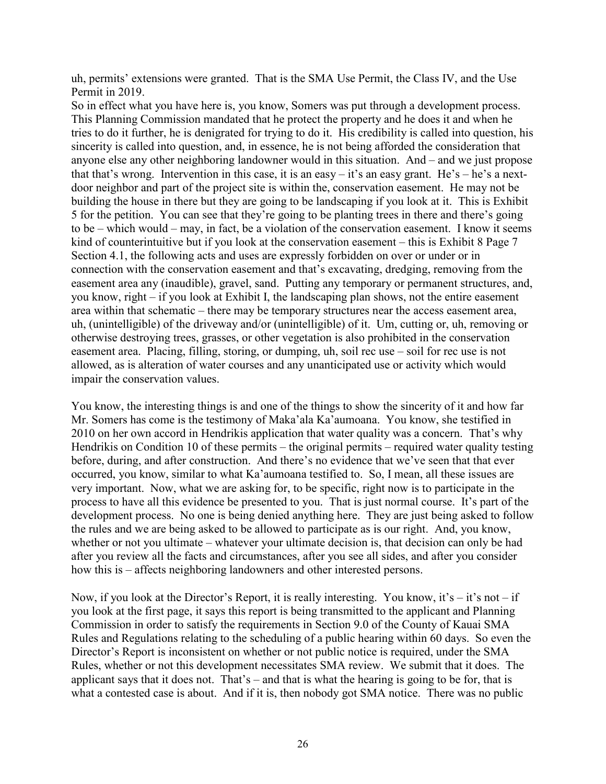uh, permits' extensions were granted. That is the SMA Use Permit, the Class IV, and the Use Permit in 2019.

So in effect what you have here is, you know, Somers was put through a development process. This Planning Commission mandated that he protect the property and he does it and when he tries to do it further, he is denigrated for trying to do it. His credibility is called into question, his sincerity is called into question, and, in essence, he is not being afforded the consideration that anyone else any other neighboring landowner would in this situation. And – and we just propose that that's wrong. Intervention in this case, it is an easy – it's an easy grant. He's – he's a nextdoor neighbor and part of the project site is within the, conservation easement. He may not be building the house in there but they are going to be landscaping if you look at it. This is Exhibit 5 for the petition. You can see that they're going to be planting trees in there and there's going to be – which would – may, in fact, be a violation of the conservation easement. I know it seems kind of counterintuitive but if you look at the conservation easement – this is Exhibit 8 Page 7 Section 4.1, the following acts and uses are expressly forbidden on over or under or in connection with the conservation easement and that's excavating, dredging, removing from the easement area any (inaudible), gravel, sand. Putting any temporary or permanent structures, and, you know, right – if you look at Exhibit I, the landscaping plan shows, not the entire easement area within that schematic – there may be temporary structures near the access easement area, uh, (unintelligible) of the driveway and/or (unintelligible) of it. Um, cutting or, uh, removing or otherwise destroying trees, grasses, or other vegetation is also prohibited in the conservation easement area. Placing, filling, storing, or dumping, uh, soil rec use – soil for rec use is not allowed, as is alteration of water courses and any unanticipated use or activity which would impair the conservation values.

You know, the interesting things is and one of the things to show the sincerity of it and how far Mr. Somers has come is the testimony of Maka'ala Ka'aumoana. You know, she testified in 2010 on her own accord in Hendrikis application that water quality was a concern. That's why Hendrikis on Condition 10 of these permits – the original permits – required water quality testing before, during, and after construction. And there's no evidence that we've seen that that ever occurred, you know, similar to what Ka'aumoana testified to. So, I mean, all these issues are very important. Now, what we are asking for, to be specific, right now is to participate in the process to have all this evidence be presented to you. That is just normal course. It's part of the development process. No one is being denied anything here. They are just being asked to follow the rules and we are being asked to be allowed to participate as is our right. And, you know, whether or not you ultimate – whatever your ultimate decision is, that decision can only be had after you review all the facts and circumstances, after you see all sides, and after you consider how this is – affects neighboring landowners and other interested persons.

Now, if you look at the Director's Report, it is really interesting. You know, it's  $-$  it's not  $-$  if you look at the first page, it says this report is being transmitted to the applicant and Planning Commission in order to satisfy the requirements in Section 9.0 of the County of Kauai SMA Rules and Regulations relating to the scheduling of a public hearing within 60 days. So even the Director's Report is inconsistent on whether or not public notice is required, under the SMA Rules, whether or not this development necessitates SMA review. We submit that it does. The applicant says that it does not. That's – and that is what the hearing is going to be for, that is what a contested case is about. And if it is, then nobody got SMA notice. There was no public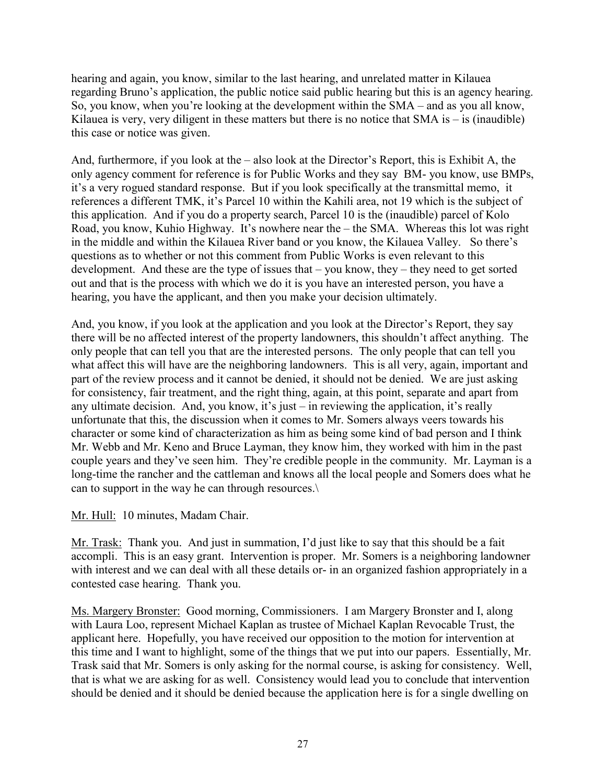hearing and again, you know, similar to the last hearing, and unrelated matter in Kilauea regarding Bruno's application, the public notice said public hearing but this is an agency hearing. So, you know, when you're looking at the development within the SMA – and as you all know, Kilauea is very, very diligent in these matters but there is no notice that  $SMA$  is  $-$  is (inaudible) this case or notice was given.

And, furthermore, if you look at the – also look at the Director's Report, this is Exhibit A, the only agency comment for reference is for Public Works and they say BM- you know, use BMPs, it's a very rogued standard response. But if you look specifically at the transmittal memo, it references a different TMK, it's Parcel 10 within the Kahili area, not 19 which is the subject of this application. And if you do a property search, Parcel 10 is the (inaudible) parcel of Kolo Road, you know, Kuhio Highway. It's nowhere near the – the SMA. Whereas this lot was right in the middle and within the Kilauea River band or you know, the Kilauea Valley. So there's questions as to whether or not this comment from Public Works is even relevant to this development. And these are the type of issues that – you know, they – they need to get sorted out and that is the process with which we do it is you have an interested person, you have a hearing, you have the applicant, and then you make your decision ultimately.

And, you know, if you look at the application and you look at the Director's Report, they say there will be no affected interest of the property landowners, this shouldn't affect anything. The only people that can tell you that are the interested persons. The only people that can tell you what affect this will have are the neighboring landowners. This is all very, again, important and part of the review process and it cannot be denied, it should not be denied. We are just asking for consistency, fair treatment, and the right thing, again, at this point, separate and apart from any ultimate decision. And, you know, it's just – in reviewing the application, it's really unfortunate that this, the discussion when it comes to Mr. Somers always veers towards his character or some kind of characterization as him as being some kind of bad person and I think Mr. Webb and Mr. Keno and Bruce Layman, they know him, they worked with him in the past couple years and they've seen him. They're credible people in the community. Mr. Layman is a long-time the rancher and the cattleman and knows all the local people and Somers does what he can to support in the way he can through resources.\

Mr. Hull: 10 minutes, Madam Chair.

Mr. Trask: Thank you. And just in summation, I'd just like to say that this should be a fait accompli. This is an easy grant. Intervention is proper. Mr. Somers is a neighboring landowner with interest and we can deal with all these details or- in an organized fashion appropriately in a contested case hearing. Thank you.

Ms. Margery Bronster: Good morning, Commissioners. I am Margery Bronster and I, along with Laura Loo, represent Michael Kaplan as trustee of Michael Kaplan Revocable Trust, the applicant here. Hopefully, you have received our opposition to the motion for intervention at this time and I want to highlight, some of the things that we put into our papers. Essentially, Mr. Trask said that Mr. Somers is only asking for the normal course, is asking for consistency. Well, that is what we are asking for as well. Consistency would lead you to conclude that intervention should be denied and it should be denied because the application here is for a single dwelling on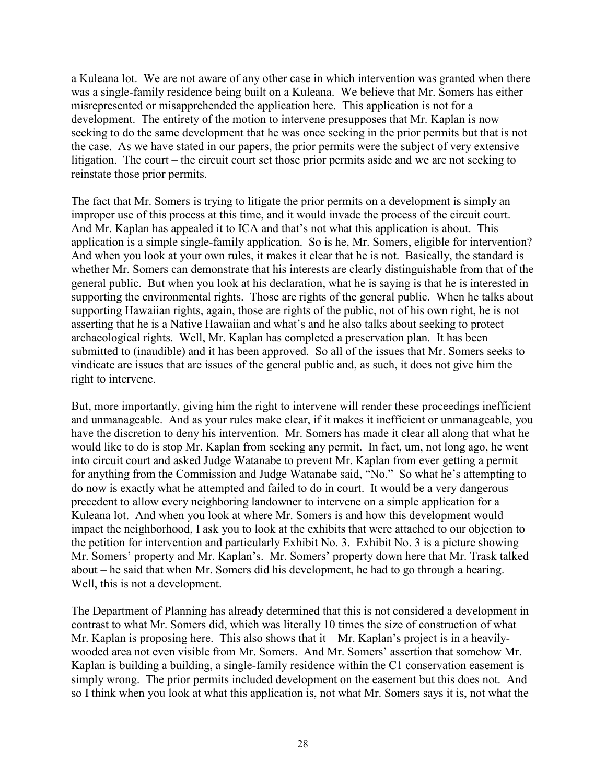a Kuleana lot. We are not aware of any other case in which intervention was granted when there was a single-family residence being built on a Kuleana. We believe that Mr. Somers has either misrepresented or misapprehended the application here. This application is not for a development. The entirety of the motion to intervene presupposes that Mr. Kaplan is now seeking to do the same development that he was once seeking in the prior permits but that is not the case. As we have stated in our papers, the prior permits were the subject of very extensive litigation. The court – the circuit court set those prior permits aside and we are not seeking to reinstate those prior permits.

The fact that Mr. Somers is trying to litigate the prior permits on a development is simply an improper use of this process at this time, and it would invade the process of the circuit court. And Mr. Kaplan has appealed it to ICA and that's not what this application is about. This application is a simple single-family application. So is he, Mr. Somers, eligible for intervention? And when you look at your own rules, it makes it clear that he is not. Basically, the standard is whether Mr. Somers can demonstrate that his interests are clearly distinguishable from that of the general public. But when you look at his declaration, what he is saying is that he is interested in supporting the environmental rights. Those are rights of the general public. When he talks about supporting Hawaiian rights, again, those are rights of the public, not of his own right, he is not asserting that he is a Native Hawaiian and what's and he also talks about seeking to protect archaeological rights. Well, Mr. Kaplan has completed a preservation plan. It has been submitted to (inaudible) and it has been approved. So all of the issues that Mr. Somers seeks to vindicate are issues that are issues of the general public and, as such, it does not give him the right to intervene.

But, more importantly, giving him the right to intervene will render these proceedings inefficient and unmanageable. And as your rules make clear, if it makes it inefficient or unmanageable, you have the discretion to deny his intervention. Mr. Somers has made it clear all along that what he would like to do is stop Mr. Kaplan from seeking any permit. In fact, um, not long ago, he went into circuit court and asked Judge Watanabe to prevent Mr. Kaplan from ever getting a permit for anything from the Commission and Judge Watanabe said, "No." So what he's attempting to do now is exactly what he attempted and failed to do in court. It would be a very dangerous precedent to allow every neighboring landowner to intervene on a simple application for a Kuleana lot. And when you look at where Mr. Somers is and how this development would impact the neighborhood, I ask you to look at the exhibits that were attached to our objection to the petition for intervention and particularly Exhibit No. 3. Exhibit No. 3 is a picture showing Mr. Somers' property and Mr. Kaplan's. Mr. Somers' property down here that Mr. Trask talked about – he said that when Mr. Somers did his development, he had to go through a hearing. Well, this is not a development.

The Department of Planning has already determined that this is not considered a development in contrast to what Mr. Somers did, which was literally 10 times the size of construction of what Mr. Kaplan is proposing here. This also shows that it – Mr. Kaplan's project is in a heavilywooded area not even visible from Mr. Somers. And Mr. Somers' assertion that somehow Mr. Kaplan is building a building, a single-family residence within the C1 conservation easement is simply wrong. The prior permits included development on the easement but this does not. And so I think when you look at what this application is, not what Mr. Somers says it is, not what the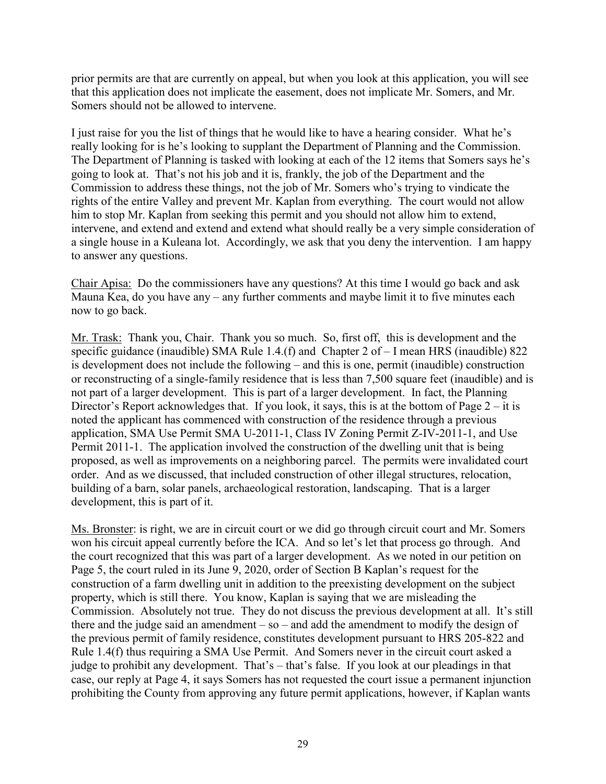prior permits are that are currently on appeal, but when you look at this application, you will see that this application does not implicate the easement, does not implicate Mr. Somers, and Mr. Somers should not be allowed to intervene.

I just raise for you the list of things that he would like to have a hearing consider. What he's really looking for is he's looking to supplant the Department of Planning and the Commission. The Department of Planning is tasked with looking at each of the 12 items that Somers says he's going to look at. That's not his job and it is, frankly, the job of the Department and the Commission to address these things, not the job of Mr. Somers who's trying to vindicate the rights of the entire Valley and prevent Mr. Kaplan from everything. The court would not allow him to stop Mr. Kaplan from seeking this permit and you should not allow him to extend, intervene, and extend and extend and extend what should really be a very simple consideration of a single house in a Kuleana lot. Accordingly, we ask that you deny the intervention. I am happy to answer any questions.

Chair Apisa: Do the commissioners have any questions? At this time I would go back and ask Mauna Kea, do you have any – any further comments and maybe limit it to five minutes each now to go back.

Mr. Trask: Thank you, Chair. Thank you so much. So, first off, this is development and the specific guidance (inaudible) SMA Rule 1.4.(f) and Chapter 2 of – I mean HRS (inaudible) 822 is development does not include the following – and this is one, permit (inaudible) construction or reconstructing of a single-family residence that is less than 7,500 square feet (inaudible) and is not part of a larger development. This is part of a larger development. In fact, the Planning Director's Report acknowledges that. If you look, it says, this is at the bottom of Page 2 – it is noted the applicant has commenced with construction of the residence through a previous application, SMA Use Permit SMA U-2011-1, Class IV Zoning Permit Z-IV-2011-1, and Use Permit 2011-1. The application involved the construction of the dwelling unit that is being proposed, as well as improvements on a neighboring parcel. The permits were invalidated court order. And as we discussed, that included construction of other illegal structures, relocation, building of a barn, solar panels, archaeological restoration, landscaping. That is a larger development, this is part of it.

Ms. Bronster: is right, we are in circuit court or we did go through circuit court and Mr. Somers won his circuit appeal currently before the ICA. And so let's let that process go through. And the court recognized that this was part of a larger development. As we noted in our petition on Page 5, the court ruled in its June 9, 2020, order of Section B Kaplan's request for the construction of a farm dwelling unit in addition to the preexisting development on the subject property, which is still there. You know, Kaplan is saying that we are misleading the Commission. Absolutely not true. They do not discuss the previous development at all. It's still there and the judge said an amendment  $-$  so  $-$  and add the amendment to modify the design of the previous permit of family residence, constitutes development pursuant to HRS 205-822 and Rule 1.4(f) thus requiring a SMA Use Permit. And Somers never in the circuit court asked a judge to prohibit any development. That's – that's false. If you look at our pleadings in that case, our reply at Page 4, it says Somers has not requested the court issue a permanent injunction prohibiting the County from approving any future permit applications, however, if Kaplan wants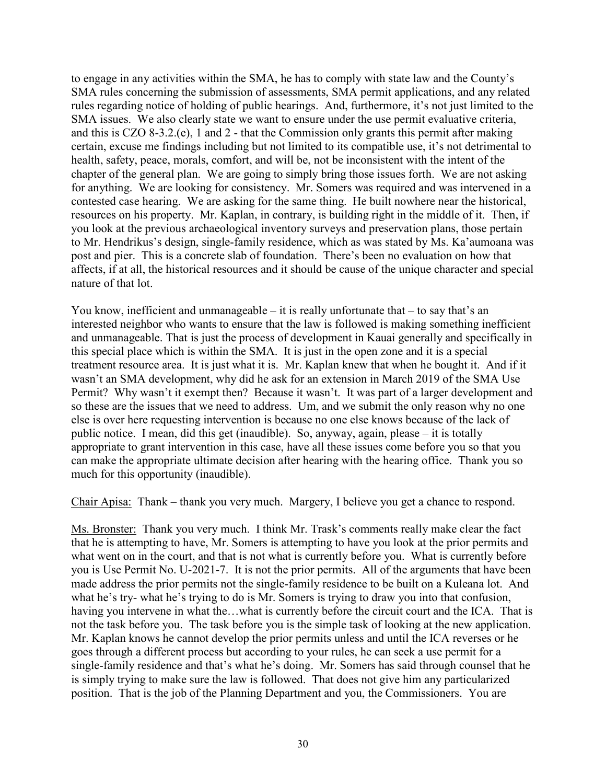to engage in any activities within the SMA, he has to comply with state law and the County's SMA rules concerning the submission of assessments, SMA permit applications, and any related rules regarding notice of holding of public hearings. And, furthermore, it's not just limited to the SMA issues. We also clearly state we want to ensure under the use permit evaluative criteria, and this is CZO 8-3.2.(e), 1 and 2 - that the Commission only grants this permit after making certain, excuse me findings including but not limited to its compatible use, it's not detrimental to health, safety, peace, morals, comfort, and will be, not be inconsistent with the intent of the chapter of the general plan. We are going to simply bring those issues forth. We are not asking for anything. We are looking for consistency. Mr. Somers was required and was intervened in a contested case hearing. We are asking for the same thing. He built nowhere near the historical, resources on his property. Mr. Kaplan, in contrary, is building right in the middle of it. Then, if you look at the previous archaeological inventory surveys and preservation plans, those pertain to Mr. Hendrikus's design, single-family residence, which as was stated by Ms. Ka'aumoana was post and pier. This is a concrete slab of foundation. There's been no evaluation on how that affects, if at all, the historical resources and it should be cause of the unique character and special nature of that lot.

You know, inefficient and unmanageable – it is really unfortunate that – to say that's an interested neighbor who wants to ensure that the law is followed is making something inefficient and unmanageable. That is just the process of development in Kauai generally and specifically in this special place which is within the SMA. It is just in the open zone and it is a special treatment resource area. It is just what it is. Mr. Kaplan knew that when he bought it. And if it wasn't an SMA development, why did he ask for an extension in March 2019 of the SMA Use Permit? Why wasn't it exempt then? Because it wasn't. It was part of a larger development and so these are the issues that we need to address. Um, and we submit the only reason why no one else is over here requesting intervention is because no one else knows because of the lack of public notice. I mean, did this get (inaudible). So, anyway, again, please – it is totally appropriate to grant intervention in this case, have all these issues come before you so that you can make the appropriate ultimate decision after hearing with the hearing office. Thank you so much for this opportunity (inaudible).

Chair Apisa: Thank – thank you very much. Margery, I believe you get a chance to respond.

Ms. Bronster: Thank you very much. I think Mr. Trask's comments really make clear the fact that he is attempting to have, Mr. Somers is attempting to have you look at the prior permits and what went on in the court, and that is not what is currently before you. What is currently before you is Use Permit No. U-2021-7. It is not the prior permits. All of the arguments that have been made address the prior permits not the single-family residence to be built on a Kuleana lot. And what he's try- what he's trying to do is Mr. Somers is trying to draw you into that confusion, having you intervene in what the...what is currently before the circuit court and the ICA. That is not the task before you. The task before you is the simple task of looking at the new application. Mr. Kaplan knows he cannot develop the prior permits unless and until the ICA reverses or he goes through a different process but according to your rules, he can seek a use permit for a single-family residence and that's what he's doing. Mr. Somers has said through counsel that he is simply trying to make sure the law is followed. That does not give him any particularized position. That is the job of the Planning Department and you, the Commissioners. You are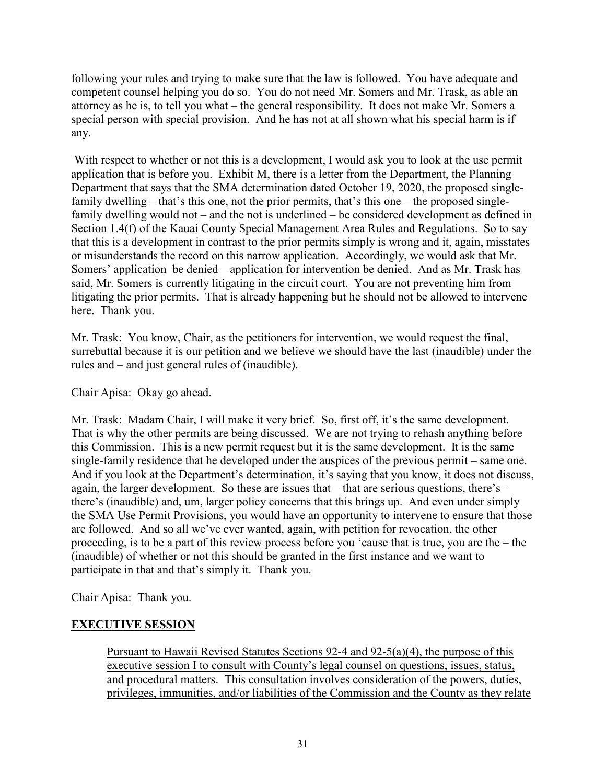following your rules and trying to make sure that the law is followed. You have adequate and competent counsel helping you do so. You do not need Mr. Somers and Mr. Trask, as able an attorney as he is, to tell you what – the general responsibility. It does not make Mr. Somers a special person with special provision. And he has not at all shown what his special harm is if any.

With respect to whether or not this is a development, I would ask you to look at the use permit application that is before you. Exhibit M, there is a letter from the Department, the Planning Department that says that the SMA determination dated October 19, 2020, the proposed singlefamily dwelling – that's this one, not the prior permits, that's this one – the proposed singlefamily dwelling would not – and the not is underlined – be considered development as defined in Section 1.4(f) of the Kauai County Special Management Area Rules and Regulations. So to say that this is a development in contrast to the prior permits simply is wrong and it, again, misstates or misunderstands the record on this narrow application. Accordingly, we would ask that Mr. Somers' application be denied – application for intervention be denied. And as Mr. Trask has said, Mr. Somers is currently litigating in the circuit court. You are not preventing him from litigating the prior permits. That is already happening but he should not be allowed to intervene here. Thank you.

Mr. Trask: You know, Chair, as the petitioners for intervention, we would request the final, surrebuttal because it is our petition and we believe we should have the last (inaudible) under the rules and – and just general rules of (inaudible).

### Chair Apisa: Okay go ahead.

Mr. Trask: Madam Chair, I will make it very brief. So, first off, it's the same development. That is why the other permits are being discussed. We are not trying to rehash anything before this Commission. This is a new permit request but it is the same development. It is the same single-family residence that he developed under the auspices of the previous permit – same one. And if you look at the Department's determination, it's saying that you know, it does not discuss, again, the larger development. So these are issues that – that are serious questions, there's – there's (inaudible) and, um, larger policy concerns that this brings up. And even under simply the SMA Use Permit Provisions, you would have an opportunity to intervene to ensure that those are followed. And so all we've ever wanted, again, with petition for revocation, the other proceeding, is to be a part of this review process before you 'cause that is true, you are the – the (inaudible) of whether or not this should be granted in the first instance and we want to participate in that and that's simply it. Thank you.

Chair Apisa: Thank you.

### **EXECUTIVE SESSION**

Pursuant to Hawaii Revised Statutes Sections 92-4 and 92-5(a)(4), the purpose of this executive session I to consult with County's legal counsel on questions, issues, status, and procedural matters. This consultation involves consideration of the powers, duties, privileges, immunities, and/or liabilities of the Commission and the County as they relate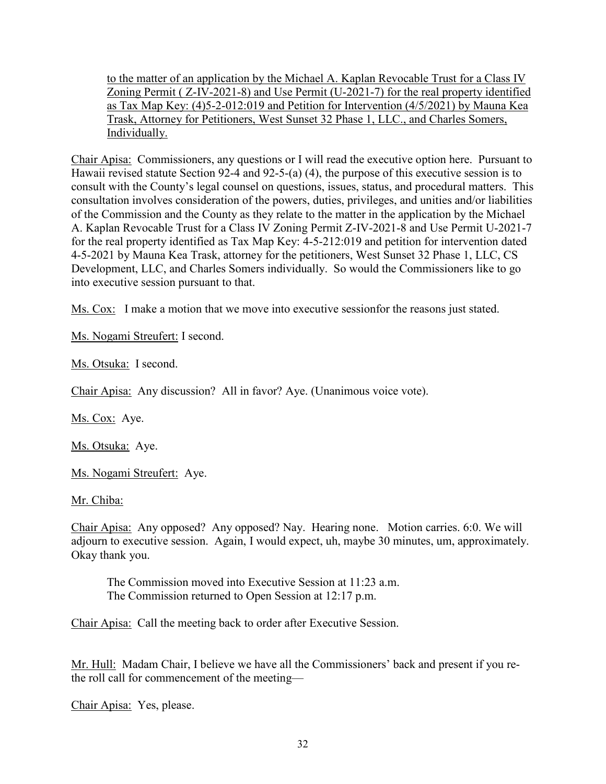to the matter of an application by the Michael A. Kaplan Revocable Trust for a Class IV Zoning Permit ( Z-IV-2021-8) and Use Permit (U-2021-7) for the real property identified as Tax Map Key: (4)5-2-012:019 and Petition for Intervention (4/5/2021) by Mauna Kea Trask, Attorney for Petitioners, West Sunset 32 Phase 1, LLC., and Charles Somers, Individually.

Chair Apisa: Commissioners, any questions or I will read the executive option here. Pursuant to Hawaii revised statute Section 92-4 and 92-5-(a) (4), the purpose of this executive session is to consult with the County's legal counsel on questions, issues, status, and procedural matters. This consultation involves consideration of the powers, duties, privileges, and unities and/or liabilities of the Commission and the County as they relate to the matter in the application by the Michael A. Kaplan Revocable Trust for a Class IV Zoning Permit Z-IV-2021-8 and Use Permit U-2021-7 for the real property identified as Tax Map Key: 4-5-212:019 and petition for intervention dated 4-5-2021 by Mauna Kea Trask, attorney for the petitioners, West Sunset 32 Phase 1, LLC, CS Development, LLC, and Charles Somers individually. So would the Commissioners like to go into executive session pursuant to that.

Ms. Cox: I make a motion that we move into executive sessionfor the reasons just stated.

Ms. Nogami Streufert: I second.

Ms. Otsuka: I second.

Chair Apisa: Any discussion? All in favor? Aye. (Unanimous voice vote).

Ms. Cox: Aye.

Ms. Otsuka: Aye.

Ms. Nogami Streufert: Aye.

Mr. Chiba:

Chair Apisa: Any opposed? Any opposed? Nay. Hearing none. Motion carries. 6:0. We will adjourn to executive session. Again, I would expect, uh, maybe 30 minutes, um, approximately. Okay thank you.

 The Commission moved into Executive Session at 11:23 a.m. The Commission returned to Open Session at 12:17 p.m.

Chair Apisa: Call the meeting back to order after Executive Session.

Mr. Hull: Madam Chair, I believe we have all the Commissioners' back and present if you rethe roll call for commencement of the meeting—

Chair Apisa: Yes, please.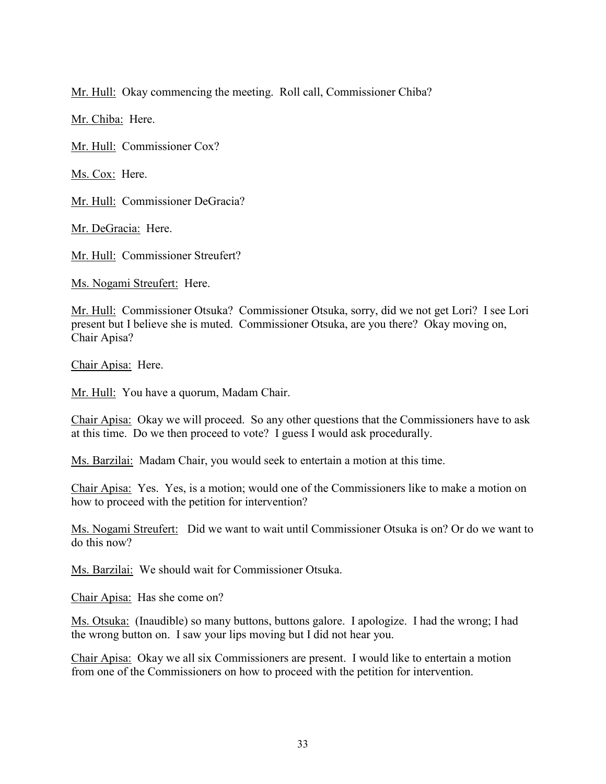Mr. Hull: Okay commencing the meeting. Roll call, Commissioner Chiba?

Mr. Chiba: Here.

Mr. Hull: Commissioner Cox?

Ms. Cox: Here.

Mr. Hull: Commissioner DeGracia?

Mr. DeGracia: Here.

Mr. Hull: Commissioner Streufert?

Ms. Nogami Streufert: Here.

Mr. Hull: Commissioner Otsuka? Commissioner Otsuka, sorry, did we not get Lori? I see Lori present but I believe she is muted. Commissioner Otsuka, are you there? Okay moving on, Chair Apisa?

Chair Apisa: Here.

Mr. Hull: You have a quorum, Madam Chair.

Chair Apisa: Okay we will proceed. So any other questions that the Commissioners have to ask at this time. Do we then proceed to vote? I guess I would ask procedurally.

Ms. Barzilai: Madam Chair, you would seek to entertain a motion at this time.

Chair Apisa: Yes. Yes, is a motion; would one of the Commissioners like to make a motion on how to proceed with the petition for intervention?

Ms. Nogami Streufert: Did we want to wait until Commissioner Otsuka is on? Or do we want to do this now?

Ms. Barzilai: We should wait for Commissioner Otsuka.

Chair Apisa: Has she come on?

Ms. Otsuka: (Inaudible) so many buttons, buttons galore. I apologize. I had the wrong; I had the wrong button on. I saw your lips moving but I did not hear you.

Chair Apisa: Okay we all six Commissioners are present. I would like to entertain a motion from one of the Commissioners on how to proceed with the petition for intervention.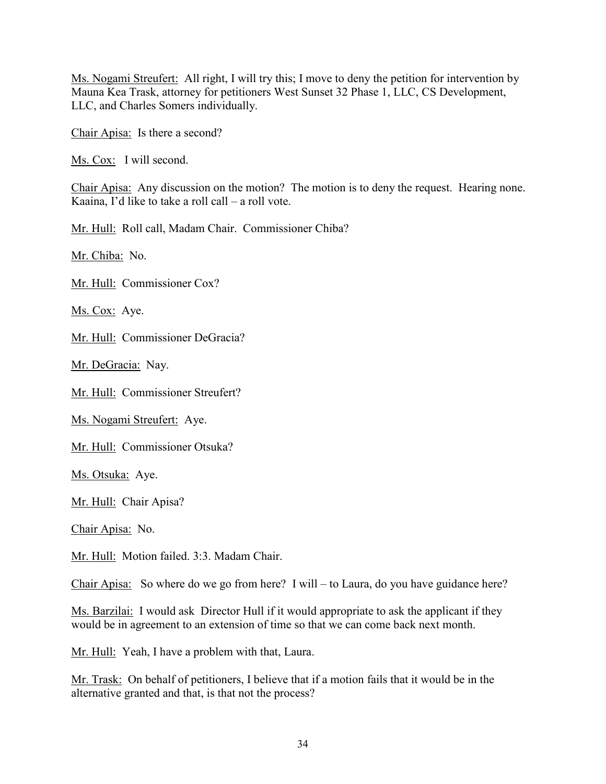Ms. Nogami Streufert: All right, I will try this; I move to deny the petition for intervention by Mauna Kea Trask, attorney for petitioners West Sunset 32 Phase 1, LLC, CS Development, LLC, and Charles Somers individually.

Chair Apisa: Is there a second?

Ms. Cox: I will second.

Chair Apisa: Any discussion on the motion? The motion is to deny the request. Hearing none. Kaaina, I'd like to take a roll call – a roll vote.

Mr. Hull: Roll call, Madam Chair. Commissioner Chiba?

Mr. Chiba: No.

Mr. Hull: Commissioner Cox?

Ms. Cox: Aye.

Mr. Hull: Commissioner DeGracia?

Mr. DeGracia: Nay.

Mr. Hull: Commissioner Streufert?

Ms. Nogami Streufert: Aye.

Mr. Hull: Commissioner Otsuka?

Ms. Otsuka: Aye.

Mr. Hull: Chair Apisa?

Chair Apisa: No.

Mr. Hull: Motion failed. 3:3. Madam Chair.

Chair Apisa: So where do we go from here? I will – to Laura, do you have guidance here?

Ms. Barzilai: I would ask Director Hull if it would appropriate to ask the applicant if they would be in agreement to an extension of time so that we can come back next month.

Mr. Hull: Yeah, I have a problem with that, Laura.

Mr. Trask: On behalf of petitioners, I believe that if a motion fails that it would be in the alternative granted and that, is that not the process?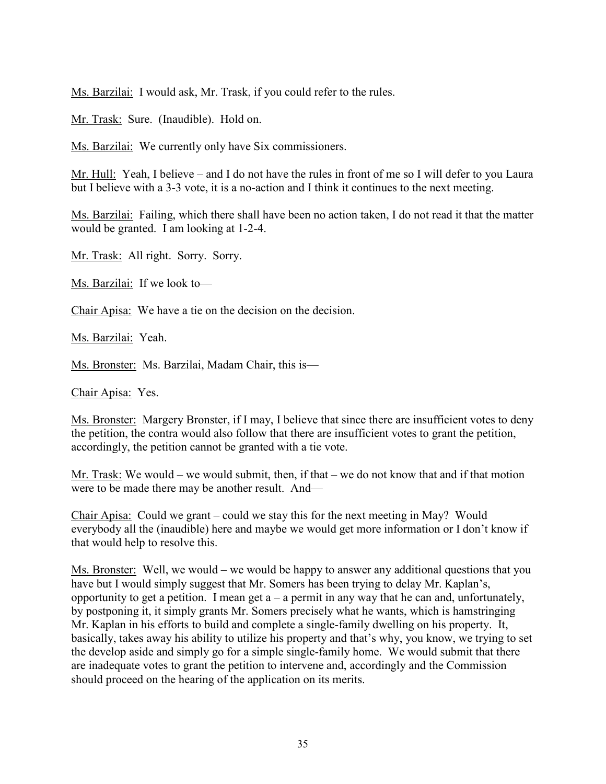Ms. Barzilai: I would ask, Mr. Trask, if you could refer to the rules.

Mr. Trask: Sure. (Inaudible). Hold on.

Ms. Barzilai: We currently only have Six commissioners.

Mr. Hull: Yeah, I believe – and I do not have the rules in front of me so I will defer to you Laura but I believe with a 3-3 vote, it is a no-action and I think it continues to the next meeting.

Ms. Barzilai: Failing, which there shall have been no action taken, I do not read it that the matter would be granted. I am looking at 1-2-4.

Mr. Trask: All right. Sorry. Sorry.

Ms. Barzilai: If we look to—

Chair Apisa: We have a tie on the decision on the decision.

Ms. Barzilai: Yeah.

Ms. Bronster: Ms. Barzilai, Madam Chair, this is—

Chair Apisa: Yes.

Ms. Bronster: Margery Bronster, if I may, I believe that since there are insufficient votes to deny the petition, the contra would also follow that there are insufficient votes to grant the petition, accordingly, the petition cannot be granted with a tie vote.

Mr. Trask: We would – we would submit, then, if that – we do not know that and if that motion were to be made there may be another result. And—

Chair Apisa: Could we grant – could we stay this for the next meeting in May? Would everybody all the (inaudible) here and maybe we would get more information or I don't know if that would help to resolve this.

Ms. Bronster: Well, we would – we would be happy to answer any additional questions that you have but I would simply suggest that Mr. Somers has been trying to delay Mr. Kaplan's, opportunity to get a petition. I mean get  $a - a$  permit in any way that he can and, unfortunately, by postponing it, it simply grants Mr. Somers precisely what he wants, which is hamstringing Mr. Kaplan in his efforts to build and complete a single-family dwelling on his property. It, basically, takes away his ability to utilize his property and that's why, you know, we trying to set the develop aside and simply go for a simple single-family home. We would submit that there are inadequate votes to grant the petition to intervene and, accordingly and the Commission should proceed on the hearing of the application on its merits.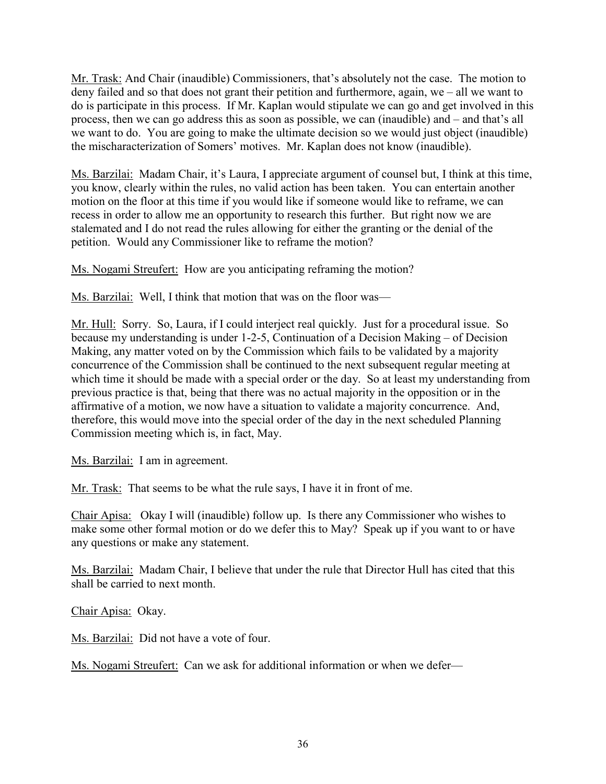Mr. Trask: And Chair (inaudible) Commissioners, that's absolutely not the case. The motion to deny failed and so that does not grant their petition and furthermore, again, we – all we want to do is participate in this process. If Mr. Kaplan would stipulate we can go and get involved in this process, then we can go address this as soon as possible, we can (inaudible) and – and that's all we want to do. You are going to make the ultimate decision so we would just object (inaudible) the mischaracterization of Somers' motives. Mr. Kaplan does not know (inaudible).

Ms. Barzilai: Madam Chair, it's Laura, I appreciate argument of counsel but, I think at this time, you know, clearly within the rules, no valid action has been taken. You can entertain another motion on the floor at this time if you would like if someone would like to reframe, we can recess in order to allow me an opportunity to research this further. But right now we are stalemated and I do not read the rules allowing for either the granting or the denial of the petition. Would any Commissioner like to reframe the motion?

Ms. Nogami Streufert: How are you anticipating reframing the motion?

Ms. Barzilai: Well, I think that motion that was on the floor was—

Mr. Hull: Sorry. So, Laura, if I could interject real quickly. Just for a procedural issue. So because my understanding is under 1-2-5, Continuation of a Decision Making – of Decision Making, any matter voted on by the Commission which fails to be validated by a majority concurrence of the Commission shall be continued to the next subsequent regular meeting at which time it should be made with a special order or the day. So at least my understanding from previous practice is that, being that there was no actual majority in the opposition or in the affirmative of a motion, we now have a situation to validate a majority concurrence. And, therefore, this would move into the special order of the day in the next scheduled Planning Commission meeting which is, in fact, May.

Ms. Barzilai: I am in agreement.

Mr. Trask: That seems to be what the rule says, I have it in front of me.

Chair Apisa: Okay I will (inaudible) follow up. Is there any Commissioner who wishes to make some other formal motion or do we defer this to May? Speak up if you want to or have any questions or make any statement.

Ms. Barzilai: Madam Chair, I believe that under the rule that Director Hull has cited that this shall be carried to next month.

Chair Apisa: Okay.

Ms. Barzilai: Did not have a vote of four.

Ms. Nogami Streufert: Can we ask for additional information or when we defer—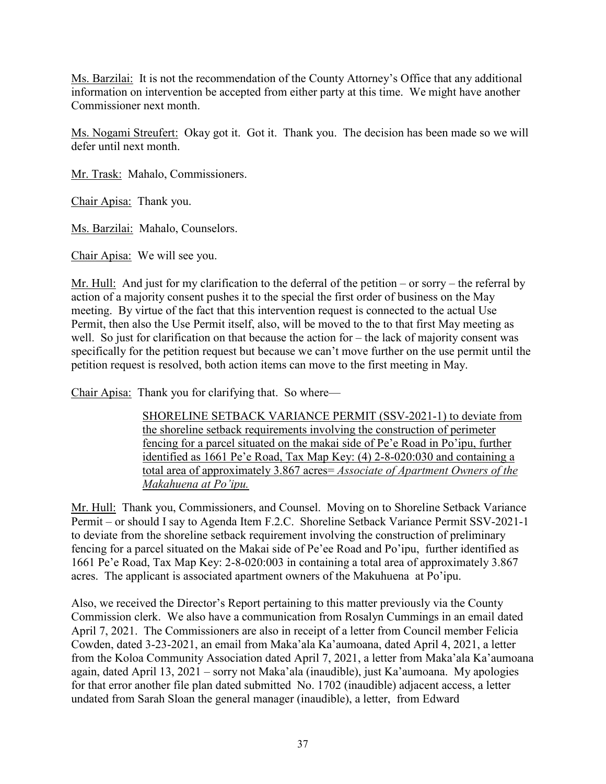Ms. Barzilai: It is not the recommendation of the County Attorney's Office that any additional information on intervention be accepted from either party at this time. We might have another Commissioner next month.

Ms. Nogami Streufert: Okay got it. Got it. Thank you. The decision has been made so we will defer until next month.

Mr. Trask: Mahalo, Commissioners.

Chair Apisa: Thank you.

Ms. Barzilai: Mahalo, Counselors.

Chair Apisa: We will see you.

Mr. Hull: And just for my clarification to the deferral of the petition – or sorry – the referral by action of a majority consent pushes it to the special the first order of business on the May meeting. By virtue of the fact that this intervention request is connected to the actual Use Permit, then also the Use Permit itself, also, will be moved to the to that first May meeting as well. So just for clarification on that because the action for – the lack of majority consent was specifically for the petition request but because we can't move further on the use permit until the petition request is resolved, both action items can move to the first meeting in May.

Chair Apisa: Thank you for clarifying that. So where—

SHORELINE SETBACK VARIANCE PERMIT (SSV-2021-1) to deviate from the shoreline setback requirements involving the construction of perimeter fencing for a parcel situated on the makai side of Pe'e Road in Po'ipu, further identified as 1661 Pe'e Road, Tax Map Key: (4) 2-8-020:030 and containing a total area of approximately 3.867 acres= *Associate of Apartment Owners of the Makahuena at Po'ipu.*

Mr. Hull: Thank you, Commissioners, and Counsel. Moving on to Shoreline Setback Variance Permit – or should I say to Agenda Item F.2.C. Shoreline Setback Variance Permit SSV-2021-1 to deviate from the shoreline setback requirement involving the construction of preliminary fencing for a parcel situated on the Makai side of Pe'ee Road and Po'ipu, further identified as 1661 Pe'e Road, Tax Map Key: 2-8-020:003 in containing a total area of approximately 3.867 acres. The applicant is associated apartment owners of the Makuhuena at Po'ipu.

Also, we received the Director's Report pertaining to this matter previously via the County Commission clerk. We also have a communication from Rosalyn Cummings in an email dated April 7, 2021. The Commissioners are also in receipt of a letter from Council member Felicia Cowden, dated 3-23-2021, an email from Maka'ala Ka'aumoana, dated April 4, 2021, a letter from the Koloa Community Association dated April 7, 2021, a letter from Maka'ala Ka'aumoana again, dated April 13, 2021 – sorry not Maka'ala (inaudible), just Ka'aumoana. My apologies for that error another file plan dated submitted No. 1702 (inaudible) adjacent access, a letter undated from Sarah Sloan the general manager (inaudible), a letter, from Edward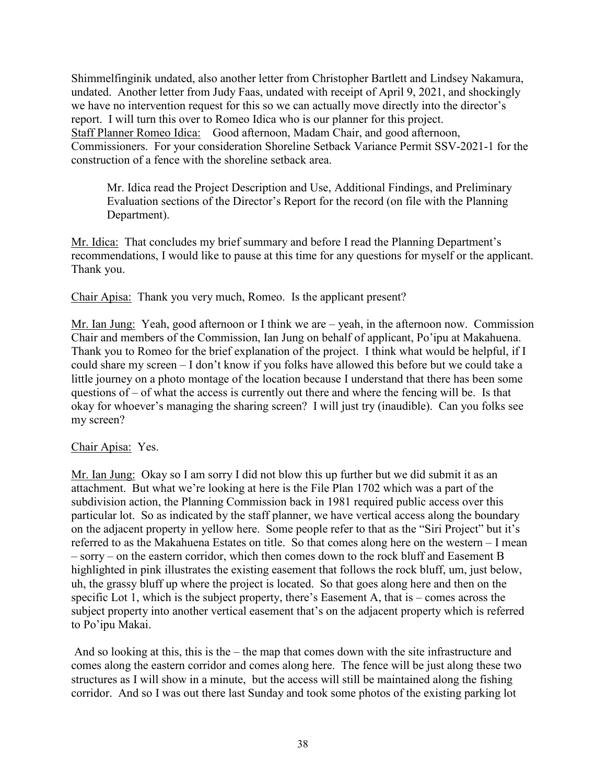Shimmelfinginik undated, also another letter from Christopher Bartlett and Lindsey Nakamura, undated. Another letter from Judy Faas, undated with receipt of April 9, 2021, and shockingly we have no intervention request for this so we can actually move directly into the director's report. I will turn this over to Romeo Idica who is our planner for this project. Staff Planner Romeo Idica: Good afternoon, Madam Chair, and good afternoon, Commissioners. For your consideration Shoreline Setback Variance Permit SSV-2021-1 for the construction of a fence with the shoreline setback area.

Mr. Idica read the Project Description and Use, Additional Findings, and Preliminary Evaluation sections of the Director's Report for the record (on file with the Planning Department).

Mr. Idica: That concludes my brief summary and before I read the Planning Department's recommendations, I would like to pause at this time for any questions for myself or the applicant. Thank you.

Chair Apisa: Thank you very much, Romeo. Is the applicant present?

Mr. Ian Jung: Yeah, good afternoon or I think we are – yeah, in the afternoon now. Commission Chair and members of the Commission, Ian Jung on behalf of applicant, Po'ipu at Makahuena. Thank you to Romeo for the brief explanation of the project. I think what would be helpful, if I could share my screen – I don't know if you folks have allowed this before but we could take a little journey on a photo montage of the location because I understand that there has been some questions of – of what the access is currently out there and where the fencing will be. Is that okay for whoever's managing the sharing screen? I will just try (inaudible). Can you folks see my screen?

#### Chair Apisa: Yes.

Mr. Ian Jung: Okay so I am sorry I did not blow this up further but we did submit it as an attachment. But what we're looking at here is the File Plan 1702 which was a part of the subdivision action, the Planning Commission back in 1981 required public access over this particular lot. So as indicated by the staff planner, we have vertical access along the boundary on the adjacent property in yellow here. Some people refer to that as the "Siri Project" but it's referred to as the Makahuena Estates on title. So that comes along here on the western – I mean – sorry – on the eastern corridor, which then comes down to the rock bluff and Easement B highlighted in pink illustrates the existing easement that follows the rock bluff, um, just below, uh, the grassy bluff up where the project is located. So that goes along here and then on the specific Lot 1, which is the subject property, there's Easement A, that is – comes across the subject property into another vertical easement that's on the adjacent property which is referred to Po'ipu Makai.

 And so looking at this, this is the – the map that comes down with the site infrastructure and comes along the eastern corridor and comes along here. The fence will be just along these two structures as I will show in a minute, but the access will still be maintained along the fishing corridor. And so I was out there last Sunday and took some photos of the existing parking lot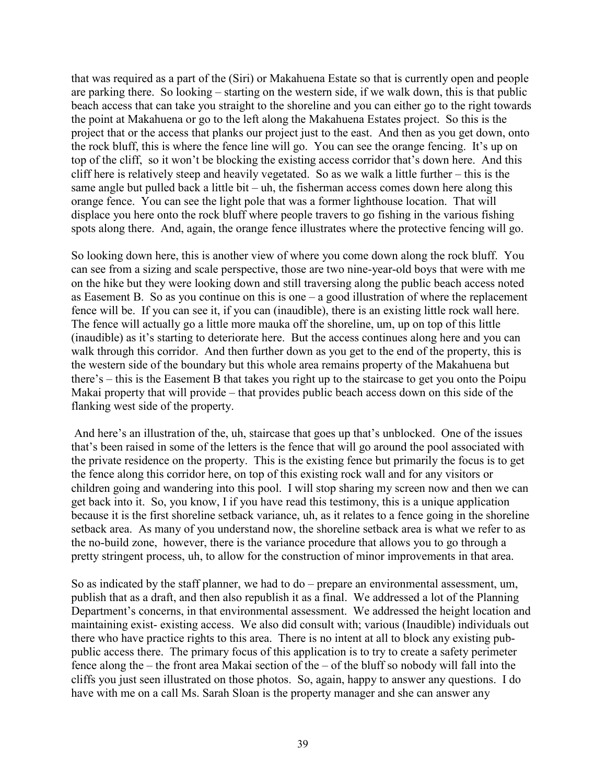that was required as a part of the (Siri) or Makahuena Estate so that is currently open and people are parking there. So looking – starting on the western side, if we walk down, this is that public beach access that can take you straight to the shoreline and you can either go to the right towards the point at Makahuena or go to the left along the Makahuena Estates project. So this is the project that or the access that planks our project just to the east. And then as you get down, onto the rock bluff, this is where the fence line will go. You can see the orange fencing. It's up on top of the cliff, so it won't be blocking the existing access corridor that's down here. And this cliff here is relatively steep and heavily vegetated. So as we walk a little further – this is the same angle but pulled back a little bit – uh, the fisherman access comes down here along this orange fence. You can see the light pole that was a former lighthouse location. That will displace you here onto the rock bluff where people travers to go fishing in the various fishing spots along there. And, again, the orange fence illustrates where the protective fencing will go.

So looking down here, this is another view of where you come down along the rock bluff. You can see from a sizing and scale perspective, those are two nine-year-old boys that were with me on the hike but they were looking down and still traversing along the public beach access noted as Easement B. So as you continue on this is one – a good illustration of where the replacement fence will be. If you can see it, if you can (inaudible), there is an existing little rock wall here. The fence will actually go a little more mauka off the shoreline, um, up on top of this little (inaudible) as it's starting to deteriorate here. But the access continues along here and you can walk through this corridor. And then further down as you get to the end of the property, this is the western side of the boundary but this whole area remains property of the Makahuena but there's – this is the Easement B that takes you right up to the staircase to get you onto the Poipu Makai property that will provide – that provides public beach access down on this side of the flanking west side of the property.

 And here's an illustration of the, uh, staircase that goes up that's unblocked. One of the issues that's been raised in some of the letters is the fence that will go around the pool associated with the private residence on the property. This is the existing fence but primarily the focus is to get the fence along this corridor here, on top of this existing rock wall and for any visitors or children going and wandering into this pool. I will stop sharing my screen now and then we can get back into it. So, you know, I if you have read this testimony, this is a unique application because it is the first shoreline setback variance, uh, as it relates to a fence going in the shoreline setback area. As many of you understand now, the shoreline setback area is what we refer to as the no-build zone, however, there is the variance procedure that allows you to go through a pretty stringent process, uh, to allow for the construction of minor improvements in that area.

So as indicated by the staff planner, we had to do – prepare an environmental assessment, um, publish that as a draft, and then also republish it as a final. We addressed a lot of the Planning Department's concerns, in that environmental assessment. We addressed the height location and maintaining exist- existing access. We also did consult with; various (Inaudible) individuals out there who have practice rights to this area. There is no intent at all to block any existing pubpublic access there. The primary focus of this application is to try to create a safety perimeter fence along the – the front area Makai section of the – of the bluff so nobody will fall into the cliffs you just seen illustrated on those photos. So, again, happy to answer any questions. I do have with me on a call Ms. Sarah Sloan is the property manager and she can answer any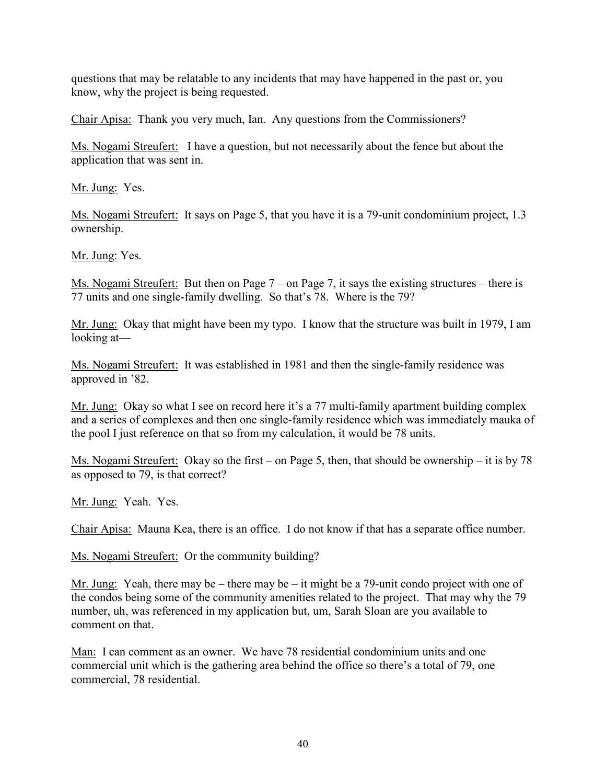questions that may be relatable to any incidents that may have happened in the past or, you know, why the project is being requested.

Chair Apisa: Thank you very much, Ian. Any questions from the Commissioners?

Ms. Nogami Streufert: I have a question, but not necessarily about the fence but about the application that was sent in.

Mr. Jung: Yes.

Ms. Nogami Streufert: It says on Page 5, that you have it is a 79-unit condominium project, 1.3 ownership.

Mr. Jung: Yes.

Ms. Nogami Streufert: But then on Page 7 – on Page 7, it says the existing structures – there is 77 units and one single-family dwelling. So that's 78. Where is the 79?

Mr. Jung: Okay that might have been my typo. I know that the structure was built in 1979, I am looking at—

Ms. Nogami Streufert: It was established in 1981 and then the single-family residence was approved in '82.

Mr. Jung: Okay so what I see on record here it's a 77 multi-family apartment building complex and a series of complexes and then one single-family residence which was immediately mauka of the pool I just reference on that so from my calculation, it would be 78 units.

Ms. Nogami Streufert: Okay so the first – on Page 5, then, that should be ownership – it is by 78 as opposed to 79, is that correct?

Mr. Jung: Yeah. Yes.

Chair Apisa: Mauna Kea, there is an office. I do not know if that has a separate office number.

Ms. Nogami Streufert: Or the community building?

Mr. Jung: Yeah, there may be – there may be – it might be a 79-unit condo project with one of the condos being some of the community amenities related to the project. That may why the 79 number, uh, was referenced in my application but, um, Sarah Sloan are you available to comment on that.

Man: I can comment as an owner. We have 78 residential condominium units and one commercial unit which is the gathering area behind the office so there's a total of 79, one commercial, 78 residential.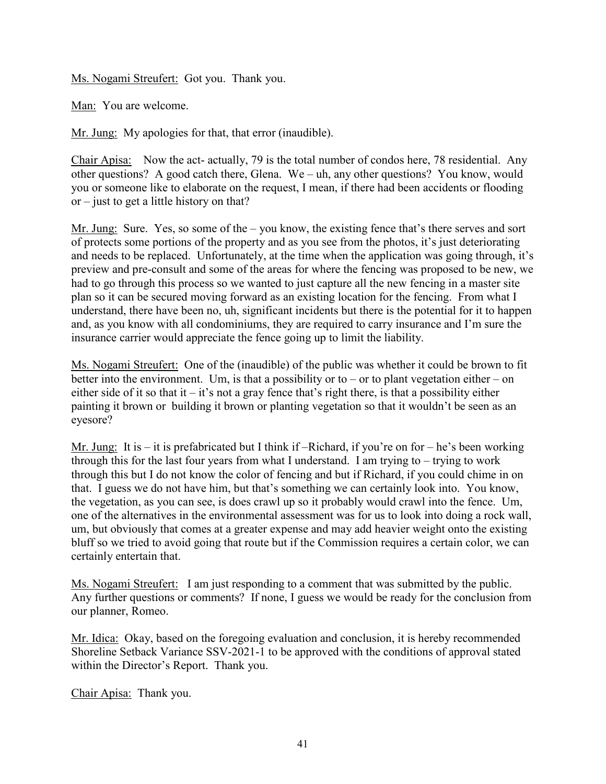Ms. Nogami Streufert: Got you. Thank you.

Man: You are welcome.

Mr. Jung: My apologies for that, that error (inaudible).

Chair Apisa: Now the act- actually, 79 is the total number of condos here, 78 residential. Any other questions? A good catch there, Glena. We – uh, any other questions? You know, would you or someone like to elaborate on the request, I mean, if there had been accidents or flooding or – just to get a little history on that?

Mr. Jung: Sure. Yes, so some of the – you know, the existing fence that's there serves and sort of protects some portions of the property and as you see from the photos, it's just deteriorating and needs to be replaced. Unfortunately, at the time when the application was going through, it's preview and pre-consult and some of the areas for where the fencing was proposed to be new, we had to go through this process so we wanted to just capture all the new fencing in a master site plan so it can be secured moving forward as an existing location for the fencing. From what I understand, there have been no, uh, significant incidents but there is the potential for it to happen and, as you know with all condominiums, they are required to carry insurance and I'm sure the insurance carrier would appreciate the fence going up to limit the liability.

Ms. Nogami Streufert: One of the (inaudible) of the public was whether it could be brown to fit better into the environment. Um, is that a possibility or to – or to plant vegetation either – on either side of it so that it – it's not a gray fence that's right there, is that a possibility either painting it brown or building it brown or planting vegetation so that it wouldn't be seen as an eyesore?

Mr. Jung: It is – it is prefabricated but I think if –Richard, if you're on for – he's been working through this for the last four years from what I understand. I am trying to – trying to work through this but I do not know the color of fencing and but if Richard, if you could chime in on that. I guess we do not have him, but that's something we can certainly look into. You know, the vegetation, as you can see, is does crawl up so it probably would crawl into the fence. Um, one of the alternatives in the environmental assessment was for us to look into doing a rock wall, um, but obviously that comes at a greater expense and may add heavier weight onto the existing bluff so we tried to avoid going that route but if the Commission requires a certain color, we can certainly entertain that.

Ms. Nogami Streufert: I am just responding to a comment that was submitted by the public. Any further questions or comments? If none, I guess we would be ready for the conclusion from our planner, Romeo.

Mr. Idica: Okay, based on the foregoing evaluation and conclusion, it is hereby recommended Shoreline Setback Variance SSV-2021-1 to be approved with the conditions of approval stated within the Director's Report. Thank you.

Chair Apisa: Thank you.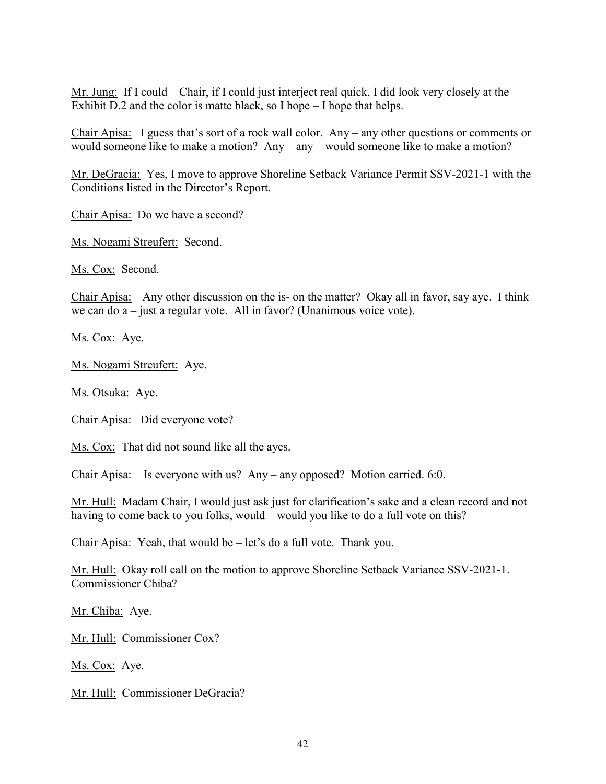Mr. Jung: If I could – Chair, if I could just interject real quick, I did look very closely at the Exhibit D.2 and the color is matte black, so I hope – I hope that helps.

Chair Apisa: I guess that's sort of a rock wall color. Any – any other questions or comments or would someone like to make a motion? Any – any – would someone like to make a motion?

Mr. DeGracia: Yes, I move to approve Shoreline Setback Variance Permit SSV-2021-1 with the Conditions listed in the Director's Report.

Chair Apisa: Do we have a second?

Ms. Nogami Streufert: Second.

Ms. Cox: Second.

Chair Apisa: Any other discussion on the is- on the matter? Okay all in favor, say aye. I think we can do a – just a regular vote. All in favor? (Unanimous voice vote).

Ms. Cox: Aye.

Ms. Nogami Streufert: Aye.

Ms. Otsuka: Aye.

Chair Apisa: Did everyone vote?

Ms. Cox: That did not sound like all the ayes.

Chair Apisa: Is everyone with us? Any – any opposed? Motion carried. 6:0.

Mr. Hull: Madam Chair, I would just ask just for clarification's sake and a clean record and not having to come back to you folks, would – would you like to do a full vote on this?

Chair Apisa: Yeah, that would be – let's do a full vote. Thank you.

Mr. Hull: Okay roll call on the motion to approve Shoreline Setback Variance SSV-2021-1. Commissioner Chiba?

Mr. Chiba: Aye.

Mr. Hull: Commissioner Cox?

Ms. Cox: Aye.

Mr. Hull: Commissioner DeGracia?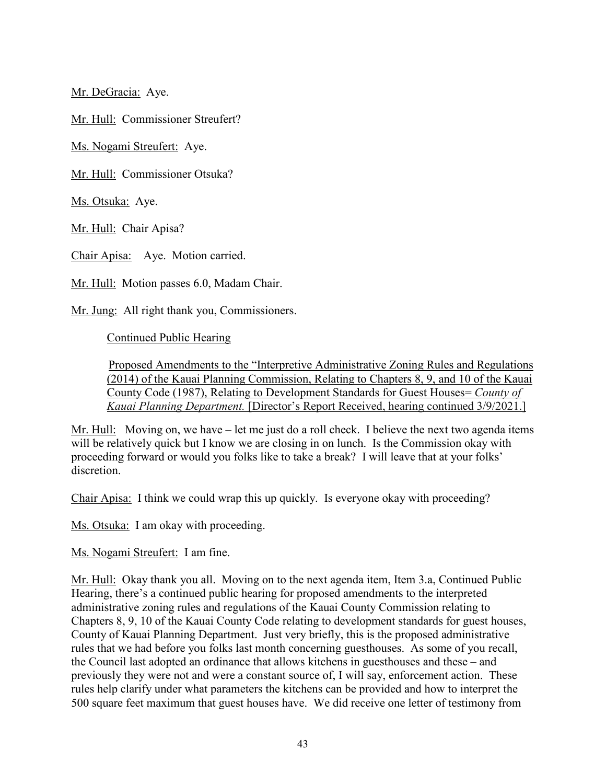Mr. DeGracia: Aye.

Mr. Hull: Commissioner Streufert?

Ms. Nogami Streufert: Aye.

Mr. Hull: Commissioner Otsuka?

Ms. Otsuka: Aye.

Mr. Hull: Chair Apisa?

Chair Apisa: Aye. Motion carried.

Mr. Hull: Motion passes 6.0, Madam Chair.

Mr. Jung: All right thank you, Commissioners.

Continued Public Hearing

 Proposed Amendments to the "Interpretive Administrative Zoning Rules and Regulations (2014) of the Kauai Planning Commission, Relating to Chapters 8, 9, and 10 of the Kauai County Code (1987), Relating to Development Standards for Guest Houses= *County of Kauai Planning Department.* [Director's Report Received, hearing continued 3/9/2021.]

Mr. Hull: Moving on, we have  $-$  let me just do a roll check. I believe the next two agenda items will be relatively quick but I know we are closing in on lunch. Is the Commission okay with proceeding forward or would you folks like to take a break? I will leave that at your folks' discretion.

Chair Apisa: I think we could wrap this up quickly. Is everyone okay with proceeding?

Ms. Otsuka: I am okay with proceeding.

Ms. Nogami Streufert: I am fine.

Mr. Hull: Okay thank you all. Moving on to the next agenda item, Item 3.a, Continued Public Hearing, there's a continued public hearing for proposed amendments to the interpreted administrative zoning rules and regulations of the Kauai County Commission relating to Chapters 8, 9, 10 of the Kauai County Code relating to development standards for guest houses, County of Kauai Planning Department. Just very briefly, this is the proposed administrative rules that we had before you folks last month concerning guesthouses. As some of you recall, the Council last adopted an ordinance that allows kitchens in guesthouses and these – and previously they were not and were a constant source of, I will say, enforcement action. These rules help clarify under what parameters the kitchens can be provided and how to interpret the 500 square feet maximum that guest houses have. We did receive one letter of testimony from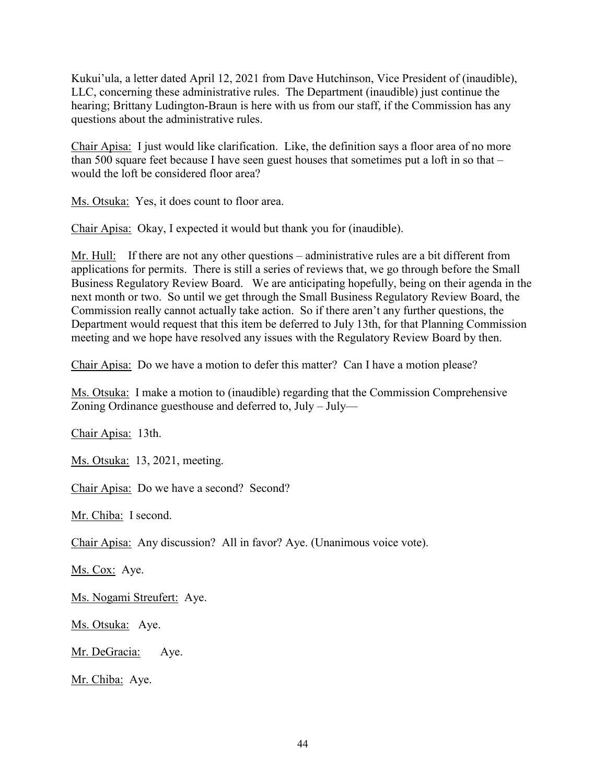Kukui'ula, a letter dated April 12, 2021 from Dave Hutchinson, Vice President of (inaudible), LLC, concerning these administrative rules. The Department (inaudible) just continue the hearing; Brittany Ludington-Braun is here with us from our staff, if the Commission has any questions about the administrative rules.

Chair Apisa: I just would like clarification. Like, the definition says a floor area of no more than 500 square feet because I have seen guest houses that sometimes put a loft in so that – would the loft be considered floor area?

Ms. Otsuka: Yes, it does count to floor area.

Chair Apisa: Okay, I expected it would but thank you for (inaudible).

Mr. Hull: If there are not any other questions – administrative rules are a bit different from applications for permits. There is still a series of reviews that, we go through before the Small Business Regulatory Review Board. We are anticipating hopefully, being on their agenda in the next month or two. So until we get through the Small Business Regulatory Review Board, the Commission really cannot actually take action. So if there aren't any further questions, the Department would request that this item be deferred to July 13th, for that Planning Commission meeting and we hope have resolved any issues with the Regulatory Review Board by then.

Chair Apisa: Do we have a motion to defer this matter? Can I have a motion please?

Ms. Otsuka: I make a motion to (inaudible) regarding that the Commission Comprehensive Zoning Ordinance guesthouse and deferred to, July – July—

Chair Apisa: 13th.

Ms. Otsuka: 13, 2021, meeting.

Chair Apisa: Do we have a second? Second?

Mr. Chiba: I second.

Chair Apisa: Any discussion? All in favor? Aye. (Unanimous voice vote).

Ms. Cox: Aye.

Ms. Nogami Streufert: Aye.

Ms. Otsuka: Aye.

Mr. DeGracia: Aye.

Mr. Chiba: Aye.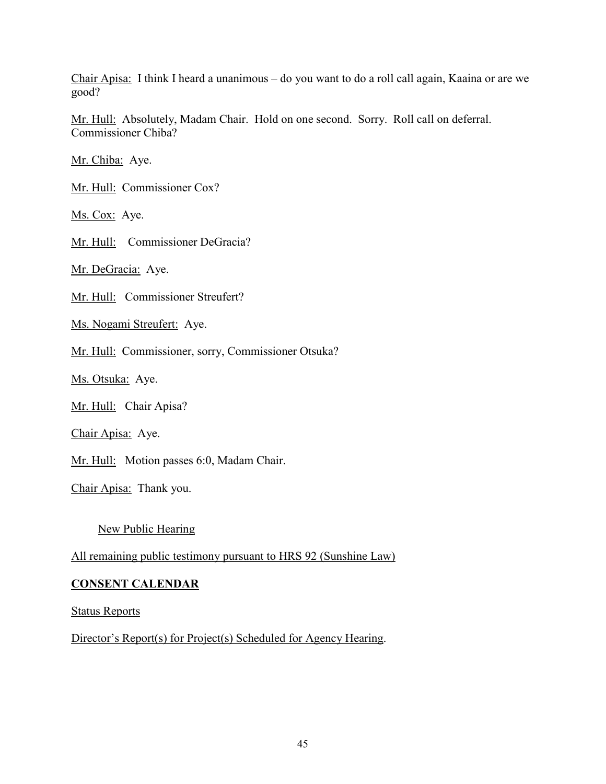Chair Apisa: I think I heard a unanimous – do you want to do a roll call again, Kaaina or are we good?

Mr. Hull: Absolutely, Madam Chair. Hold on one second. Sorry. Roll call on deferral. Commissioner Chiba?

Mr. Chiba: Aye.

Mr. Hull: Commissioner Cox?

Ms. Cox: Aye.

Mr. Hull: Commissioner DeGracia?

Mr. DeGracia: Aye.

Mr. Hull: Commissioner Streufert?

Ms. Nogami Streufert: Aye.

Mr. Hull: Commissioner, sorry, Commissioner Otsuka?

Ms. Otsuka: Aye.

Mr. Hull: Chair Apisa?

Chair Apisa: Aye.

Mr. Hull: Motion passes 6:0, Madam Chair.

Chair Apisa: Thank you.

New Public Hearing

All remaining public testimony pursuant to HRS 92 (Sunshine Law)

#### **CONSENT CALENDAR**

Status Reports

Director's Report(s) for Project(s) Scheduled for Agency Hearing.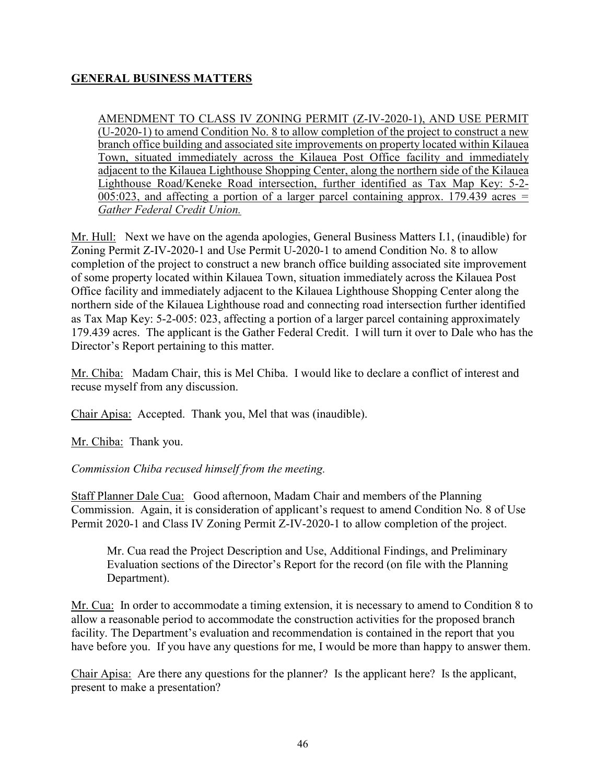## **GENERAL BUSINESS MATTERS**

AMENDMENT TO CLASS IV ZONING PERMIT (Z-IV-2020-1), AND USE PERMIT  $(U-2020-1)$  to amend Condition No. 8 to allow completion of the project to construct a new branch office building and associated site improvements on property located within Kilauea Town, situated immediately across the Kilauea Post Office facility and immediately adjacent to the Kilauea Lighthouse Shopping Center, along the northern side of the Kilauea Lighthouse Road/Keneke Road intersection, further identified as Tax Map Key: 5-2- 005:023, and affecting a portion of a larger parcel containing approx. 179.439 acres *= Gather Federal Credit Union.* 

Mr. Hull: Next we have on the agenda apologies, General Business Matters I.1, (inaudible) for Zoning Permit Z-IV-2020-1 and Use Permit U-2020-1 to amend Condition No. 8 to allow completion of the project to construct a new branch office building associated site improvement of some property located within Kilauea Town, situation immediately across the Kilauea Post Office facility and immediately adjacent to the Kilauea Lighthouse Shopping Center along the northern side of the Kilauea Lighthouse road and connecting road intersection further identified as Tax Map Key: 5-2-005: 023, affecting a portion of a larger parcel containing approximately 179.439 acres. The applicant is the Gather Federal Credit. I will turn it over to Dale who has the Director's Report pertaining to this matter.

Mr. Chiba: Madam Chair, this is Mel Chiba. I would like to declare a conflict of interest and recuse myself from any discussion.

Chair Apisa: Accepted. Thank you, Mel that was (inaudible).

Mr. Chiba: Thank you.

*Commission Chiba recused himself from the meeting.* 

Staff Planner Dale Cua: Good afternoon, Madam Chair and members of the Planning Commission. Again, it is consideration of applicant's request to amend Condition No. 8 of Use Permit 2020-1 and Class IV Zoning Permit Z-IV-2020-1 to allow completion of the project.

Mr. Cua read the Project Description and Use, Additional Findings, and Preliminary Evaluation sections of the Director's Report for the record (on file with the Planning Department).

Mr. Cua: In order to accommodate a timing extension, it is necessary to amend to Condition 8 to allow a reasonable period to accommodate the construction activities for the proposed branch facility. The Department's evaluation and recommendation is contained in the report that you have before you. If you have any questions for me, I would be more than happy to answer them.

Chair Apisa: Are there any questions for the planner? Is the applicant here? Is the applicant, present to make a presentation?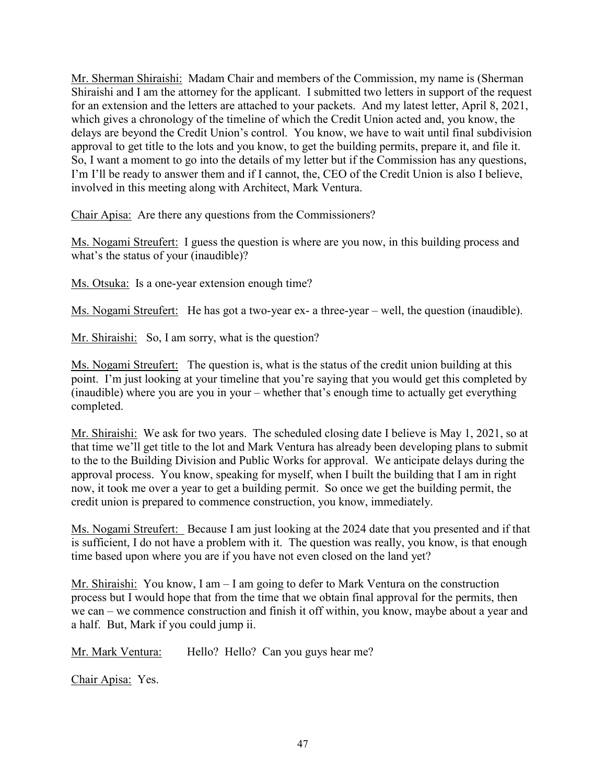Mr. Sherman Shiraishi: Madam Chair and members of the Commission, my name is (Sherman Shiraishi and I am the attorney for the applicant. I submitted two letters in support of the request for an extension and the letters are attached to your packets. And my latest letter, April 8, 2021, which gives a chronology of the timeline of which the Credit Union acted and, you know, the delays are beyond the Credit Union's control. You know, we have to wait until final subdivision approval to get title to the lots and you know, to get the building permits, prepare it, and file it. So, I want a moment to go into the details of my letter but if the Commission has any questions, I'm I'll be ready to answer them and if I cannot, the, CEO of the Credit Union is also I believe, involved in this meeting along with Architect, Mark Ventura.

Chair Apisa: Are there any questions from the Commissioners?

Ms. Nogami Streufert: I guess the question is where are you now, in this building process and what's the status of your (inaudible)?

Ms. Otsuka: Is a one-year extension enough time?

Ms. Nogami Streufert: He has got a two-year ex- a three-year – well, the question (inaudible).

Mr. Shiraishi: So, I am sorry, what is the question?

Ms. Nogami Streufert: The question is, what is the status of the credit union building at this point. I'm just looking at your timeline that you're saying that you would get this completed by (inaudible) where you are you in your – whether that's enough time to actually get everything completed.

Mr. Shiraishi: We ask for two years. The scheduled closing date I believe is May 1, 2021, so at that time we'll get title to the lot and Mark Ventura has already been developing plans to submit to the to the Building Division and Public Works for approval. We anticipate delays during the approval process. You know, speaking for myself, when I built the building that I am in right now, it took me over a year to get a building permit. So once we get the building permit, the credit union is prepared to commence construction, you know, immediately.

Ms. Nogami Streufert: Because I am just looking at the 2024 date that you presented and if that is sufficient, I do not have a problem with it. The question was really, you know, is that enough time based upon where you are if you have not even closed on the land yet?

Mr. Shiraishi: You know, I am – I am going to defer to Mark Ventura on the construction process but I would hope that from the time that we obtain final approval for the permits, then we can – we commence construction and finish it off within, you know, maybe about a year and a half. But, Mark if you could jump ii.

Mr. Mark Ventura: Hello? Hello? Can you guys hear me?

Chair Apisa: Yes.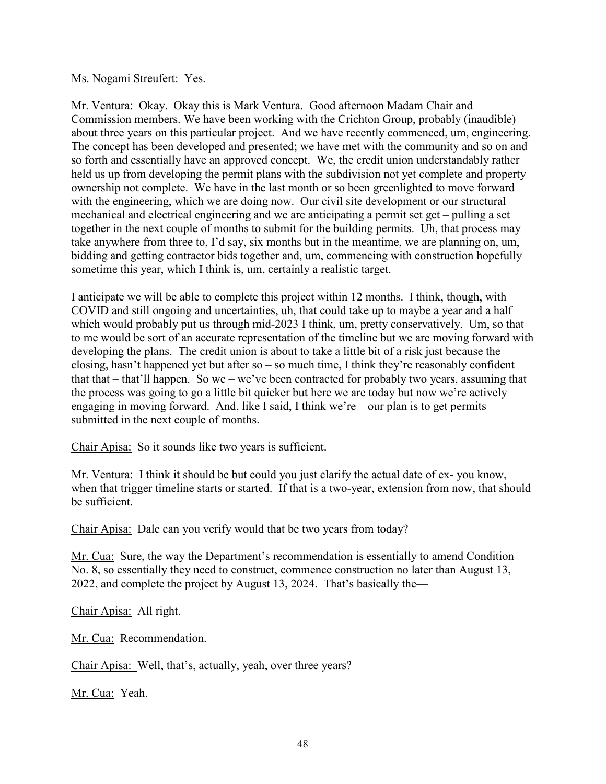#### Ms. Nogami Streufert: Yes.

Mr. Ventura: Okay. Okay this is Mark Ventura. Good afternoon Madam Chair and Commission members. We have been working with the Crichton Group, probably (inaudible) about three years on this particular project. And we have recently commenced, um, engineering. The concept has been developed and presented; we have met with the community and so on and so forth and essentially have an approved concept. We, the credit union understandably rather held us up from developing the permit plans with the subdivision not yet complete and property ownership not complete. We have in the last month or so been greenlighted to move forward with the engineering, which we are doing now. Our civil site development or our structural mechanical and electrical engineering and we are anticipating a permit set get – pulling a set together in the next couple of months to submit for the building permits. Uh, that process may take anywhere from three to, I'd say, six months but in the meantime, we are planning on, um, bidding and getting contractor bids together and, um, commencing with construction hopefully sometime this year, which I think is, um, certainly a realistic target.

I anticipate we will be able to complete this project within 12 months. I think, though, with COVID and still ongoing and uncertainties, uh, that could take up to maybe a year and a half which would probably put us through mid-2023 I think, um, pretty conservatively. Um, so that to me would be sort of an accurate representation of the timeline but we are moving forward with developing the plans. The credit union is about to take a little bit of a risk just because the closing, hasn't happened yet but after so – so much time, I think they're reasonably confident that that – that'll happen. So we – we've been contracted for probably two years, assuming that the process was going to go a little bit quicker but here we are today but now we're actively engaging in moving forward. And, like I said, I think we're – our plan is to get permits submitted in the next couple of months.

Chair Apisa: So it sounds like two years is sufficient.

Mr. Ventura: I think it should be but could you just clarify the actual date of ex- you know, when that trigger timeline starts or started. If that is a two-year, extension from now, that should be sufficient.

Chair Apisa: Dale can you verify would that be two years from today?

Mr. Cua: Sure, the way the Department's recommendation is essentially to amend Condition No. 8, so essentially they need to construct, commence construction no later than August 13, 2022, and complete the project by August 13, 2024. That's basically the—

Chair Apisa: All right.

Mr. Cua: Recommendation.

Chair Apisa: Well, that's, actually, yeah, over three years?

Mr. Cua: Yeah.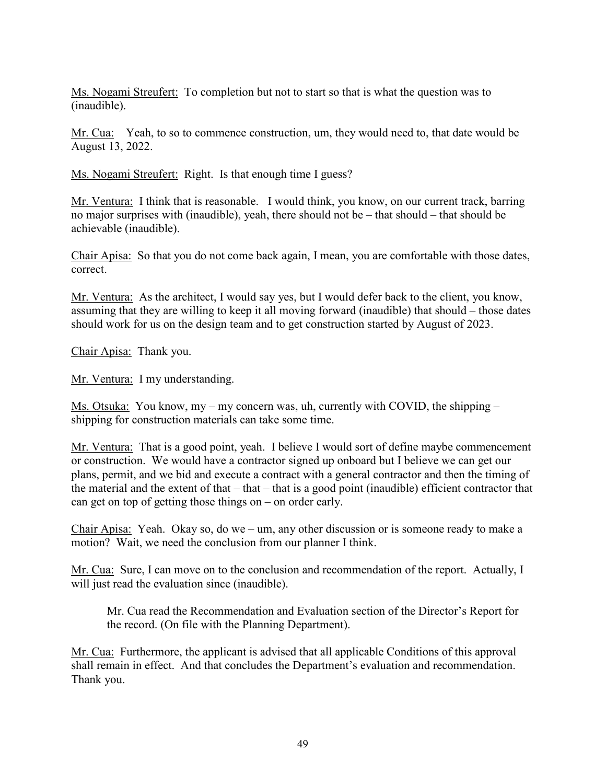Ms. Nogami Streufert: To completion but not to start so that is what the question was to (inaudible).

Mr. Cua: Yeah, to so to commence construction, um, they would need to, that date would be August 13, 2022.

Ms. Nogami Streufert: Right. Is that enough time I guess?

Mr. Ventura: I think that is reasonable. I would think, you know, on our current track, barring no major surprises with (inaudible), yeah, there should not be – that should – that should be achievable (inaudible).

Chair Apisa: So that you do not come back again, I mean, you are comfortable with those dates, correct.

Mr. Ventura: As the architect, I would say yes, but I would defer back to the client, you know, assuming that they are willing to keep it all moving forward (inaudible) that should – those dates should work for us on the design team and to get construction started by August of 2023.

Chair Apisa: Thank you.

Mr. Ventura: I my understanding.

Ms. Otsuka: You know, my – my concern was, uh, currently with COVID, the shipping – shipping for construction materials can take some time.

Mr. Ventura: That is a good point, yeah. I believe I would sort of define maybe commencement or construction. We would have a contractor signed up onboard but I believe we can get our plans, permit, and we bid and execute a contract with a general contractor and then the timing of the material and the extent of that – that – that is a good point (inaudible) efficient contractor that can get on top of getting those things on – on order early.

Chair Apisa: Yeah. Okay so, do we – um, any other discussion or is someone ready to make a motion? Wait, we need the conclusion from our planner I think.

Mr. Cua: Sure, I can move on to the conclusion and recommendation of the report. Actually, I will just read the evaluation since (inaudible).

 Mr. Cua read the Recommendation and Evaluation section of the Director's Report for the record. (On file with the Planning Department).

Mr. Cua: Furthermore, the applicant is advised that all applicable Conditions of this approval shall remain in effect. And that concludes the Department's evaluation and recommendation. Thank you.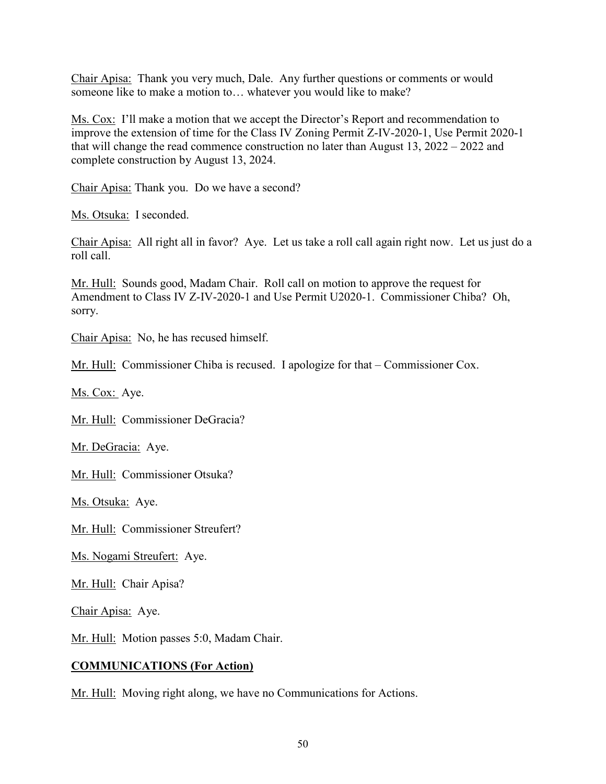Chair Apisa: Thank you very much, Dale. Any further questions or comments or would someone like to make a motion to… whatever you would like to make?

Ms. Cox: I'll make a motion that we accept the Director's Report and recommendation to improve the extension of time for the Class IV Zoning Permit Z-IV-2020-1, Use Permit 2020-1 that will change the read commence construction no later than August 13, 2022 – 2022 and complete construction by August 13, 2024.

Chair Apisa: Thank you. Do we have a second?

Ms. Otsuka: I seconded.

Chair Apisa: All right all in favor? Aye. Let us take a roll call again right now. Let us just do a roll call.

Mr. Hull: Sounds good, Madam Chair. Roll call on motion to approve the request for Amendment to Class IV Z-IV-2020-1 and Use Permit U2020-1. Commissioner Chiba? Oh, sorry.

Chair Apisa: No, he has recused himself.

Mr. Hull: Commissioner Chiba is recused. I apologize for that – Commissioner Cox.

Ms. Cox: Aye.

Mr. Hull: Commissioner DeGracia?

Mr. DeGracia: Aye.

Mr. Hull: Commissioner Otsuka?

Ms. Otsuka: Aye.

Mr. Hull: Commissioner Streufert?

Ms. Nogami Streufert: Aye.

Mr. Hull: Chair Apisa?

Chair Apisa: Aye.

Mr. Hull: Motion passes 5:0, Madam Chair.

#### **COMMUNICATIONS (For Action)**

Mr. Hull: Moving right along, we have no Communications for Actions.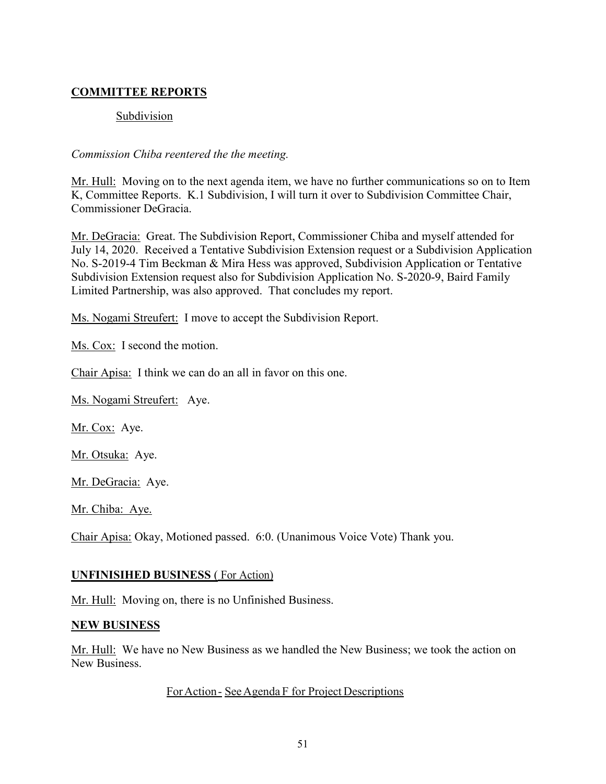# **COMMITTEE REPORTS**

### Subdivision

#### *Commission Chiba reentered the the meeting.*

Mr. Hull: Moving on to the next agenda item, we have no further communications so on to Item K, Committee Reports. K.1 Subdivision, I will turn it over to Subdivision Committee Chair, Commissioner DeGracia.

Mr. DeGracia: Great. The Subdivision Report, Commissioner Chiba and myself attended for July 14, 2020. Received a Tentative Subdivision Extension request or a Subdivision Application No. S-2019-4 Tim Beckman & Mira Hess was approved, Subdivision Application or Tentative Subdivision Extension request also for Subdivision Application No. S-2020-9, Baird Family Limited Partnership, was also approved. That concludes my report.

Ms. Nogami Streufert: I move to accept the Subdivision Report.

Ms. Cox: I second the motion.

Chair Apisa: I think we can do an all in favor on this one.

Ms. Nogami Streufert: Aye.

Mr. Cox: Aye.

Mr. Otsuka: Aye.

Mr. DeGracia: Aye.

Mr. Chiba: Aye.

Chair Apisa: Okay, Motioned passed. 6:0. (Unanimous Voice Vote) Thank you.

#### **UNFINISIHED BUSINESS** ( For Action)

Mr. Hull: Moving on, there is no Unfinished Business.

#### **NEW BUSINESS**

Mr. Hull: We have no New Business as we handled the New Business; we took the action on New Business.

#### ForAction - See Agenda F for Project Descriptions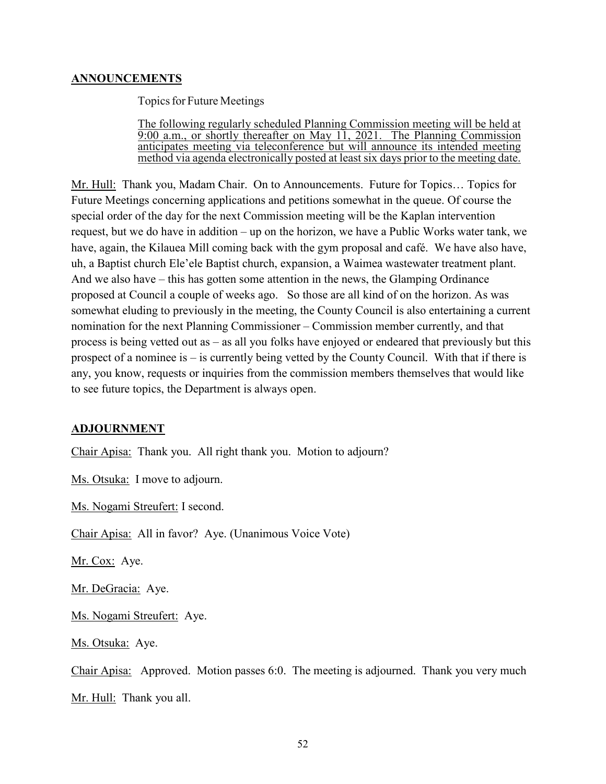### **ANNOUNCEMENTS**

Topics for Future Meetings

The following regularly scheduled Planning Commission meeting will be held at 9:00 a.m., or shortly thereafter on May 11, 2021. The Planning Commission anticipates meeting via teleconference but will announce its intended meeting method via agenda electronically posted at least six days prior to the meeting date.

Mr. Hull: Thank you, Madam Chair. On to Announcements. Future for Topics… Topics for Future Meetings concerning applications and petitions somewhat in the queue. Of course the special order of the day for the next Commission meeting will be the Kaplan intervention request, but we do have in addition – up on the horizon, we have a Public Works water tank, we have, again, the Kilauea Mill coming back with the gym proposal and café. We have also have, uh, a Baptist church Ele'ele Baptist church, expansion, a Waimea wastewater treatment plant. And we also have – this has gotten some attention in the news, the Glamping Ordinance proposed at Council a couple of weeks ago. So those are all kind of on the horizon. As was somewhat eluding to previously in the meeting, the County Council is also entertaining a current nomination for the next Planning Commissioner – Commission member currently, and that process is being vetted out as – as all you folks have enjoyed or endeared that previously but this prospect of a nominee is – is currently being vetted by the County Council. With that if there is any, you know, requests or inquiries from the commission members themselves that would like to see future topics, the Department is always open.

#### **ADJOURNMENT**

Chair Apisa: Thank you. All right thank you. Motion to adjourn?

Ms. Otsuka: I move to adjourn.

Ms. Nogami Streufert: I second.

Chair Apisa: All in favor? Aye. (Unanimous Voice Vote)

Mr. Cox: Aye.

Mr. DeGracia: Aye.

Ms. Nogami Streufert: Aye.

Ms. Otsuka: Aye.

Chair Apisa: Approved. Motion passes 6:0. The meeting is adjourned. Thank you very much Mr. Hull: Thank you all.